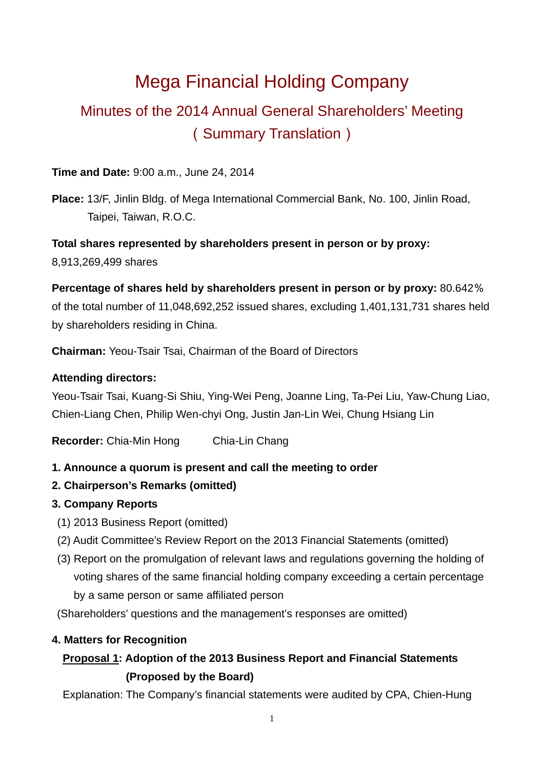# Mega Financial Holding Company

# Minutes of the 2014 Annual General Shareholders' Meeting (Summary Translation)

### **Time and Date:** 9:00 a.m., June 24, 2014

**Place:** 13/F, Jinlin Bldg. of Mega International Commercial Bank, No. 100, Jinlin Road, Taipei, Taiwan, R.O.C.

**Total shares represented by shareholders present in person or by proxy:** 8,913,269,499 shares

**Percentage of shares held by shareholders present in person or by proxy:** 80.642% of the total number of 11,048,692,252 issued shares, excluding 1,401,131,731 shares held by shareholders residing in China.

**Chairman:** Yeou-Tsair Tsai, Chairman of the Board of Directors

### **Attending directors:**

Yeou-Tsair Tsai, Kuang-Si Shiu, Ying-Wei Peng, Joanne Ling, Ta-Pei Liu, Yaw-Chung Liao, Chien-Liang Chen, Philip Wen-chyi Ong, Justin Jan-Lin Wei, Chung Hsiang Lin

**Recorder:** Chia-Min Hong Chia-Lin Chang

## **1. Announce a quorum is present and call the meeting to order**

- **2. Chairperson's Remarks (omitted)**
- **3. Company Reports** 
	- (1) 2013 Business Report (omitted)
	- (2) Audit Committee's Review Report on the 2013 Financial Statements (omitted)
	- (3) Report on the promulgation of relevant laws and regulations governing the holding of voting shares of the same financial holding company exceeding a certain percentage by a same person or same affiliated person

(Shareholders' questions and the management's responses are omitted)

## **4. Matters for Recognition**

# **Proposal 1: Adoption of the 2013 Business Report and Financial Statements (Proposed by the Board)**

Explanation: The Company's financial statements were audited by CPA, Chien-Hung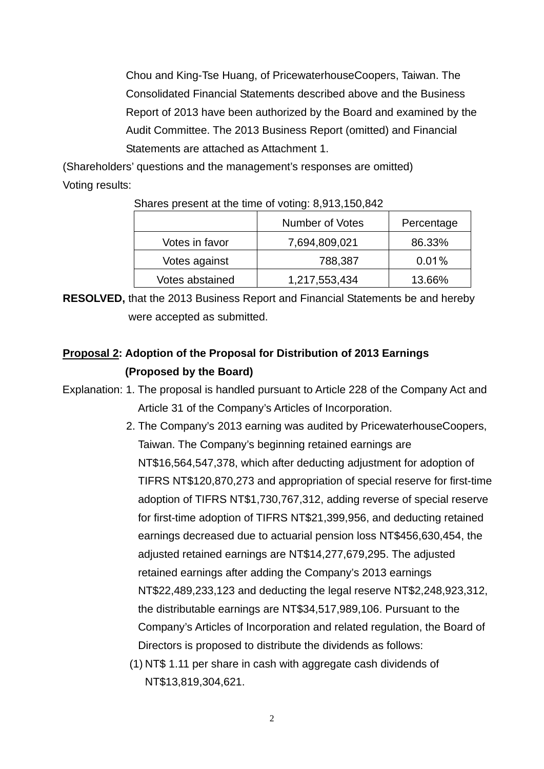Chou and King-Tse Huang, of PricewaterhouseCoopers, Taiwan. The Consolidated Financial Statements described above and the Business Report of 2013 have been authorized by the Board and examined by the Audit Committee. The 2013 Business Report (omitted) and Financial Statements are attached as Attachment 1.

(Shareholders' questions and the management's responses are omitted) Voting results:

|                 | Number of Votes | Percentage |
|-----------------|-----------------|------------|
| Votes in favor  | 7,694,809,021   | 86.33%     |
| Votes against   | 788,387         | 0.01%      |
| Votes abstained | 1,217,553,434   | 13.66%     |

Shares present at the time of voting: 8,913,150,842

**RESOLVED,** that the 2013 Business Report and Financial Statements be and hereby were accepted as submitted.

# **Proposal 2: Adoption of the Proposal for Distribution of 2013 Earnings (Proposed by the Board)**

- Explanation: 1. The proposal is handled pursuant to Article 228 of the Company Act and Article 31 of the Company's Articles of Incorporation.
	- 2. The Company's 2013 earning was audited by PricewaterhouseCoopers, Taiwan. The Company's beginning retained earnings are NT\$16,564,547,378, which after deducting adjustment for adoption of TIFRS NT\$120,870,273 and appropriation of special reserve for first-time adoption of TIFRS NT\$1,730,767,312, adding reverse of special reserve for first-time adoption of TIFRS NT\$21,399,956, and deducting retained earnings decreased due to actuarial pension loss NT\$456,630,454, the adjusted retained earnings are NT\$14,277,679,295. The adjusted retained earnings after adding the Company's 2013 earnings NT\$22,489,233,123 and deducting the legal reserve NT\$2,248,923,312, the distributable earnings are NT\$34,517,989,106. Pursuant to the Company's Articles of Incorporation and related regulation, the Board of Directors is proposed to distribute the dividends as follows:

(1) NT\$ 1.11 per share in cash with aggregate cash dividends of NT\$13,819,304,621.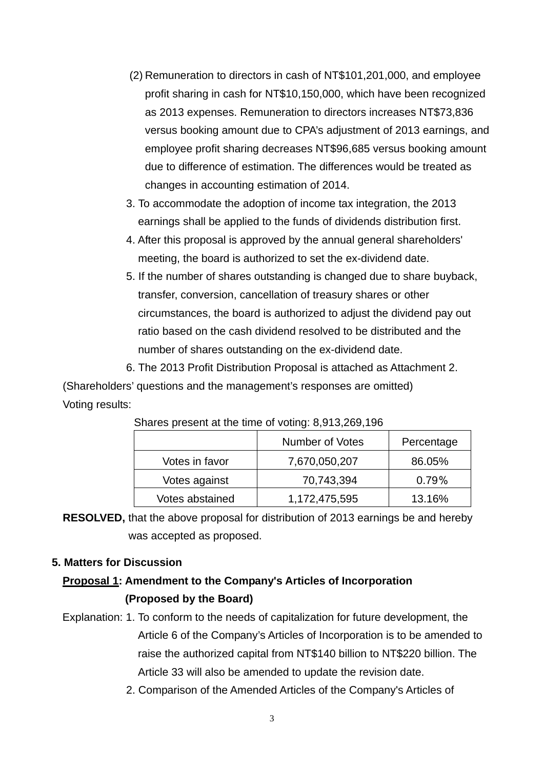- (2) Remuneration to directors in cash of NT\$101,201,000, and employee profit sharing in cash for NT\$10,150,000, which have been recognized as 2013 expenses. Remuneration to directors increases NT\$73,836 versus booking amount due to CPA's adjustment of 2013 earnings, and employee profit sharing decreases NT\$96,685 versus booking amount due to difference of estimation. The differences would be treated as changes in accounting estimation of 2014.
- 3. To accommodate the adoption of income tax integration, the 2013 earnings shall be applied to the funds of dividends distribution first.
- 4. After this proposal is approved by the annual general shareholders' meeting, the board is authorized to set the ex-dividend date.
- 5. If the number of shares outstanding is changed due to share buyback, transfer, conversion, cancellation of treasury shares or other circumstances, the board is authorized to adjust the dividend pay out ratio based on the cash dividend resolved to be distributed and the number of shares outstanding on the ex-dividend date.

6. The 2013 Profit Distribution Proposal is attached as Attachment 2.

(Shareholders' questions and the management's responses are omitted) Voting results:

|                 | Number of Votes | Percentage |
|-----------------|-----------------|------------|
| Votes in favor  | 7,670,050,207   | 86.05%     |
| Votes against   | 70,743,394      | $0.79\%$   |
| Votes abstained | 1,172,475,595   | 13.16%     |

Shares present at the time of voting: 8,913,269,196

**RESOLVED,** that the above proposal for distribution of 2013 earnings be and hereby was accepted as proposed.

### **5. Matters for Discussion**

### **Proposal 1: Amendment to the Company's Articles of Incorporation (Proposed by the Board)**

- Explanation: 1. To conform to the needs of capitalization for future development, the Article 6 of the Company's Articles of Incorporation is to be amended to raise the authorized capital from NT\$140 billion to NT\$220 billion. The Article 33 will also be amended to update the revision date.
	- 2. Comparison of the Amended Articles of the Company's Articles of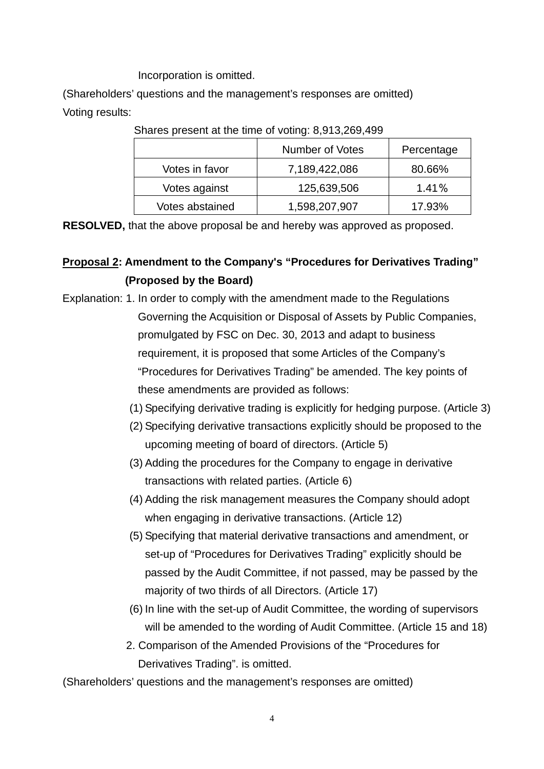Incorporation is omitted.

(Shareholders' questions and the management's responses are omitted) Voting results:

|                 | <b>Number of Votes</b> | Percentage |  |  |  |  |  |  |  |
|-----------------|------------------------|------------|--|--|--|--|--|--|--|
| Votes in favor  | 7,189,422,086          | 80.66%     |  |  |  |  |  |  |  |
| Votes against   | 125,639,506            | 1.41%      |  |  |  |  |  |  |  |
| Votes abstained | 1,598,207,907          | 17.93%     |  |  |  |  |  |  |  |

Shares present at the time of voting: 8,913,269,499

**RESOLVED,** that the above proposal be and hereby was approved as proposed.

# **Proposal 2: Amendment to the Company's "Procedures for Derivatives Trading" (Proposed by the Board)**

- Explanation: 1. In order to comply with the amendment made to the Regulations Governing the Acquisition or Disposal of Assets by Public Companies, promulgated by FSC on Dec. 30, 2013 and adapt to business requirement, it is proposed that some Articles of the Company's "Procedures for Derivatives Trading" be amended. The key points of these amendments are provided as follows:
	- (1) Specifying derivative trading is explicitly for hedging purpose. (Article 3)
	- (2) Specifying derivative transactions explicitly should be proposed to the upcoming meeting of board of directors. (Article 5)
	- (3) Adding the procedures for the Company to engage in derivative transactions with related parties. (Article 6)
	- (4) Adding the risk management measures the Company should adopt when engaging in derivative transactions. (Article 12)
	- (5) Specifying that material derivative transactions and amendment, or set-up of "Procedures for Derivatives Trading" explicitly should be passed by the Audit Committee, if not passed, may be passed by the majority of two thirds of all Directors. (Article 17)
	- (6) In line with the set-up of Audit Committee, the wording of supervisors will be amended to the wording of Audit Committee. (Article 15 and 18)
	- 2. Comparison of the Amended Provisions of the "Procedures for Derivatives Trading". is omitted.

(Shareholders' questions and the management's responses are omitted)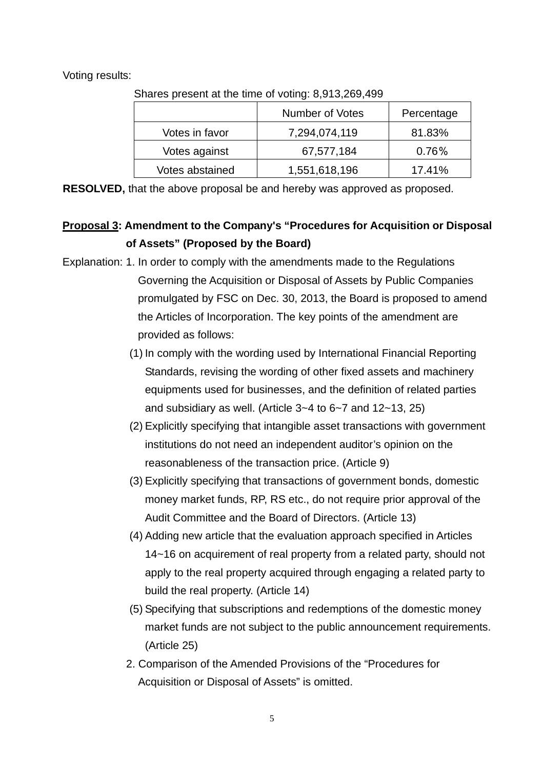Voting results:

| Undred present at the time or voting. 0,010,200, 700 |                 |            |  |  |  |  |  |  |  |  |
|------------------------------------------------------|-----------------|------------|--|--|--|--|--|--|--|--|
|                                                      | Number of Votes | Percentage |  |  |  |  |  |  |  |  |
| Votes in favor                                       | 7,294,074,119   | 81.83%     |  |  |  |  |  |  |  |  |
| Votes against                                        | 67,577,184      | 0.76%      |  |  |  |  |  |  |  |  |
| Votes abstained                                      | 1,551,618,196   | 17.41%     |  |  |  |  |  |  |  |  |

Shares present at the time of voting: 8,913,269,499

**RESOLVED,** that the above proposal be and hereby was approved as proposed.

## **Proposal 3: Amendment to the Company's "Procedures for Acquisition or Disposal of Assets" (Proposed by the Board)**

- Explanation: 1. In order to comply with the amendments made to the Regulations Governing the Acquisition or Disposal of Assets by Public Companies promulgated by FSC on Dec. 30, 2013, the Board is proposed to amend the Articles of Incorporation. The key points of the amendment are provided as follows:
	- (1) In comply with the wording used by International Financial Reporting Standards, revising the wording of other fixed assets and machinery equipments used for businesses, and the definition of related parties and subsidiary as well. (Article 3~4 to 6~7 and 12~13, 25)
	- (2) Explicitly specifying that intangible asset transactions with government institutions do not need an independent auditor's opinion on the reasonableness of the transaction price. (Article 9)
	- (3) Explicitly specifying that transactions of government bonds, domestic money market funds, RP, RS etc., do not require prior approval of the Audit Committee and the Board of Directors. (Article 13)
	- (4) Adding new article that the evaluation approach specified in Articles 14~16 on acquirement of real property from a related party, should not apply to the real property acquired through engaging a related party to build the real property. (Article 14)
	- (5) Specifying that subscriptions and redemptions of the domestic money market funds are not subject to the public announcement requirements. (Article 25)
	- 2. Comparison of the Amended Provisions of the "Procedures for Acquisition or Disposal of Assets" is omitted.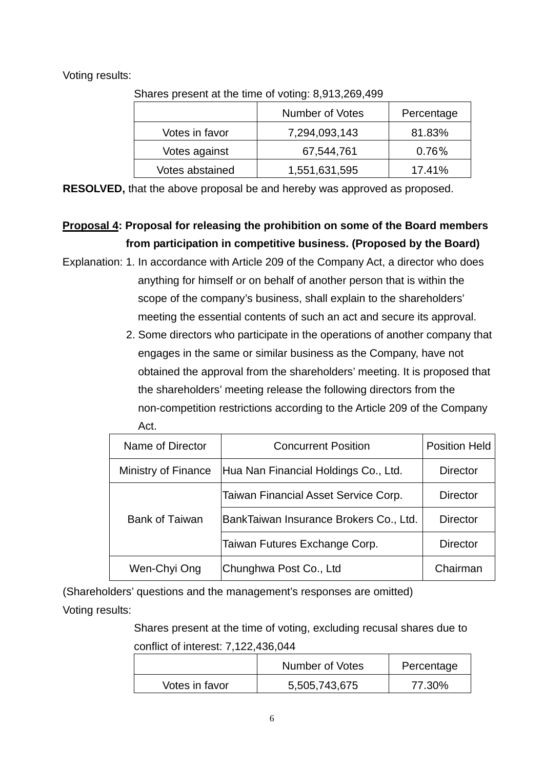Voting results:

| $\frac{1}{2}$   |                 |            |  |  |  |  |  |  |  |
|-----------------|-----------------|------------|--|--|--|--|--|--|--|
|                 | Number of Votes | Percentage |  |  |  |  |  |  |  |
| Votes in favor  | 7,294,093,143   | 81.83%     |  |  |  |  |  |  |  |
| Votes against   | 67,544,761      | 0.76%      |  |  |  |  |  |  |  |
| Votes abstained | 1,551,631,595   | 17.41%     |  |  |  |  |  |  |  |

Shares present at the time of voting: 8,913,269,499

**RESOLVED,** that the above proposal be and hereby was approved as proposed.

# **Proposal 4: Proposal for releasing the prohibition on some of the Board members from participation in competitive business. (Proposed by the Board)**

- Explanation: 1. In accordance with Article 209 of the Company Act, a director who does anything for himself or on behalf of another person that is within the scope of the company's business, shall explain to the shareholders' meeting the essential contents of such an act and secure its approval.
	- 2. Some directors who participate in the operations of another company that engages in the same or similar business as the Company, have not obtained the approval from the shareholders' meeting. It is proposed that the shareholders' meeting release the following directors from the non-competition restrictions according to the Article 209 of the Company Act.

| Name of Director      | <b>Concurrent Position</b>             | <b>Position Held</b> |
|-----------------------|----------------------------------------|----------------------|
| Ministry of Finance   | Hua Nan Financial Holdings Co., Ltd.   | <b>Director</b>      |
|                       | Taiwan Financial Asset Service Corp.   | <b>Director</b>      |
| <b>Bank of Taiwan</b> | BankTaiwan Insurance Brokers Co., Ltd. | <b>Director</b>      |
|                       | Taiwan Futures Exchange Corp.          | <b>Director</b>      |
| Wen-Chyi Ong          | Chunghwa Post Co., Ltd                 | Chairman             |

(Shareholders' questions and the management's responses are omitted) Voting results:

> Shares present at the time of voting, excluding recusal shares due to conflict of interest: 7,122,436,044

|                | Number of Votes | Percentage |  |  |  |  |
|----------------|-----------------|------------|--|--|--|--|
| Votes in favor | 5,505,743,675   | 77.30%     |  |  |  |  |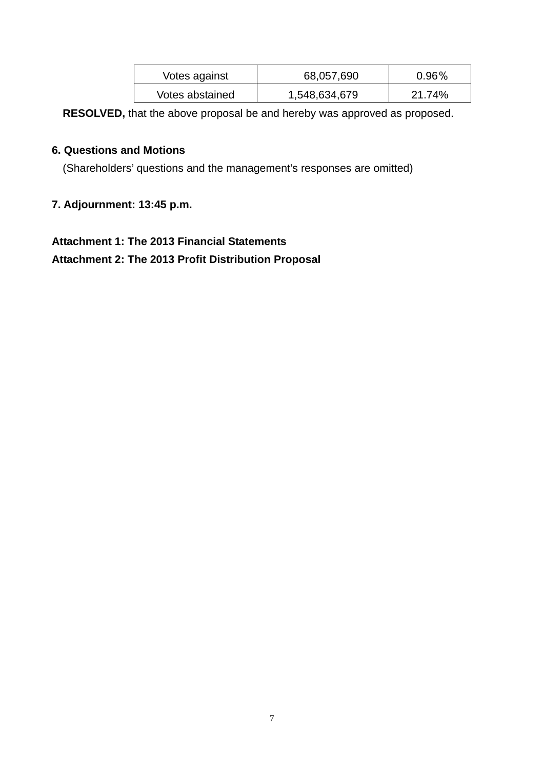| Votes against   | 68,057,690    | $0.96\%$ |  |  |  |
|-----------------|---------------|----------|--|--|--|
| Votes abstained | 1,548,634,679 | 21.74%   |  |  |  |

**RESOLVED,** that the above proposal be and hereby was approved as proposed.

### **6. Questions and Motions**

(Shareholders' questions and the management's responses are omitted)

### **7. Adjournment: 13:45 p.m.**

# **Attachment 1: The 2013 Financial Statements Attachment 2: The 2013 Profit Distribution Proposal**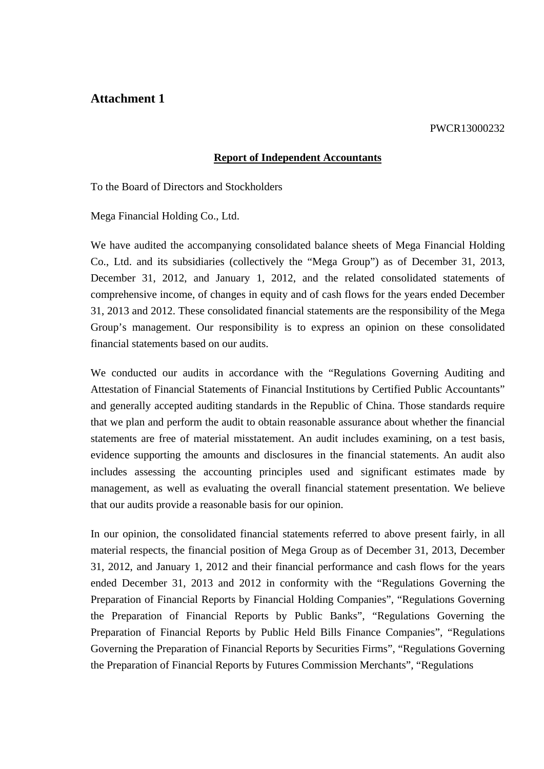### **Attachment 1**

#### PWCR13000232

#### **Report of Independent Accountants**

To the Board of Directors and Stockholders

Mega Financial Holding Co., Ltd.

We have audited the accompanying consolidated balance sheets of Mega Financial Holding Co., Ltd. and its subsidiaries (collectively the "Mega Group") as of December 31, 2013, December 31, 2012, and January 1, 2012, and the related consolidated statements of comprehensive income, of changes in equity and of cash flows for the years ended December 31, 2013 and 2012. These consolidated financial statements are the responsibility of the Mega Group's management. Our responsibility is to express an opinion on these consolidated financial statements based on our audits.

We conducted our audits in accordance with the "Regulations Governing Auditing and Attestation of Financial Statements of Financial Institutions by Certified Public Accountants" and generally accepted auditing standards in the Republic of China. Those standards require that we plan and perform the audit to obtain reasonable assurance about whether the financial statements are free of material misstatement. An audit includes examining, on a test basis, evidence supporting the amounts and disclosures in the financial statements. An audit also includes assessing the accounting principles used and significant estimates made by management, as well as evaluating the overall financial statement presentation. We believe that our audits provide a reasonable basis for our opinion.

In our opinion, the consolidated financial statements referred to above present fairly, in all material respects, the financial position of Mega Group as of December 31, 2013, December 31, 2012, and January 1, 2012 and their financial performance and cash flows for the years ended December 31, 2013 and 2012 in conformity with the "Regulations Governing the Preparation of Financial Reports by Financial Holding Companies", "Regulations Governing the Preparation of Financial Reports by Public Banks", "Regulations Governing the Preparation of Financial Reports by Public Held Bills Finance Companies", "Regulations Governing the Preparation of Financial Reports by Securities Firms", "Regulations Governing the Preparation of Financial Reports by Futures Commission Merchants", "Regulations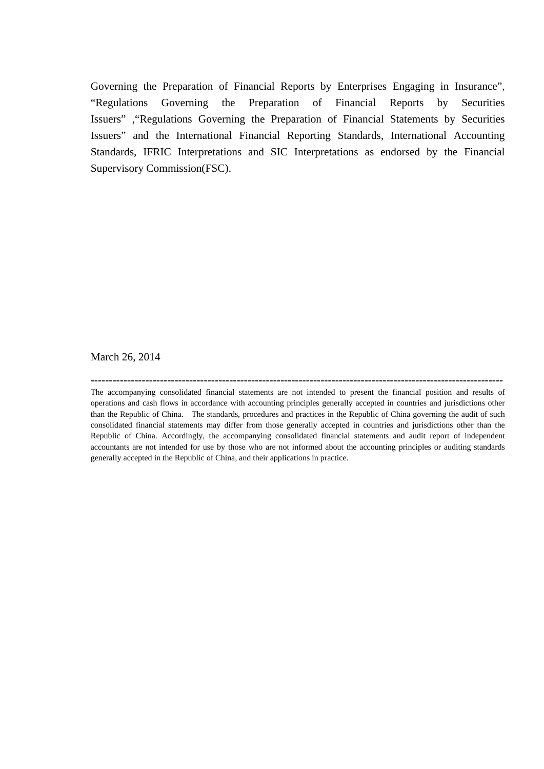Governing the Preparation of Financial Reports by Enterprises Engaging in Insurance", "Regulations Governing the Preparation of Financial Reports by Securities Issuers" ,"Regulations Governing the Preparation of Financial Statements by Securities Issuers" and the International Financial Reporting Standards, International Accounting Standards, IFRIC Interpretations and SIC Interpretations as endorsed by the Financial Supervisory Commission(FSC).

March 26, 2014

**-----------------------------------------------------------------------------------------------------------------**

The accompanying consolidated financial statements are not intended to present the financial position and results of operations and cash flows in accordance with accounting principles generally accepted in countries and jurisdictions other than the Republic of China. The standards, procedures and practices in the Republic of China governing the audit of such consolidated financial statements may differ from those generally accepted in countries and jurisdictions other than the Republic of China. Accordingly, the accompanying consolidated financial statements and audit report of independent accountants are not intended for use by those who are not informed about the accounting principles or auditing standards generally accepted in the Republic of China, and their applications in practice.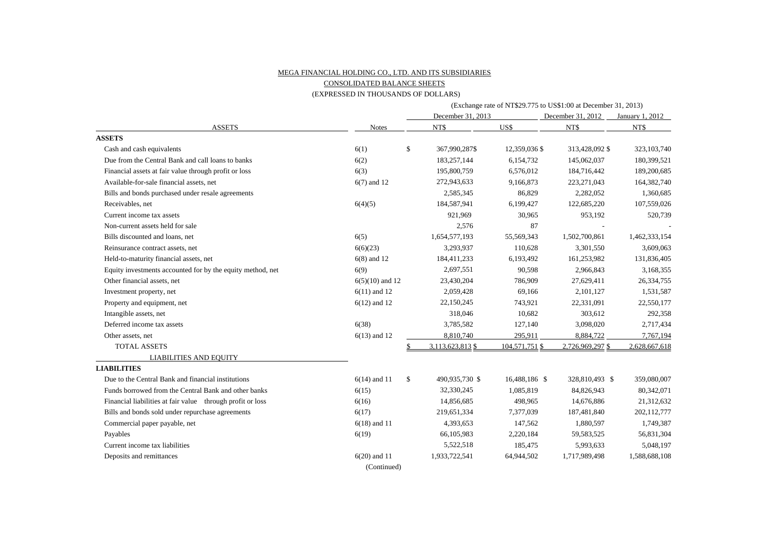#### MEGA FINANCIAL HOLDING CO., LTD. AND ITS SUBSIDIARIES

CONSOLIDATED BALANCE SHEETS

#### (EXPRESSED IN THOUSANDS OF DOLLARS)

|                                                            |                   |    |                   |                | (Exchange rate of NT\$29.775 to US\$1:00 at December 31, 2013) |                 |  |  |  |
|------------------------------------------------------------|-------------------|----|-------------------|----------------|----------------------------------------------------------------|-----------------|--|--|--|
|                                                            |                   |    | December 31, 2013 |                | December 31, 2012                                              | January 1, 2012 |  |  |  |
| <b>ASSETS</b>                                              | <b>Notes</b>      |    | NT\$              | US\$           | NT\$                                                           | NT\$            |  |  |  |
| <b>ASSETS</b>                                              |                   |    |                   |                |                                                                |                 |  |  |  |
| Cash and cash equivalents                                  | 6(1)              | \$ | 367,990,287\$     | 12,359,036 \$  | 313,428,092 \$                                                 | 323, 103, 740   |  |  |  |
| Due from the Central Bank and call loans to banks          | 6(2)              |    | 183,257,144       | 6,154,732      | 145,062,037                                                    | 180,399,521     |  |  |  |
| Financial assets at fair value through profit or loss      | 6(3)              |    | 195,800,759       | 6,576,012      | 184,716,442                                                    | 189,200,685     |  |  |  |
| Available-for-sale financial assets, net                   | $6(7)$ and 12     |    | 272,943,633       | 9,166,873      | 223, 271, 043                                                  | 164,382,740     |  |  |  |
| Bills and bonds purchased under resale agreements          |                   |    | 2,585,345         | 86,829         | 2,282,052                                                      | 1,360,685       |  |  |  |
| Receivables, net                                           | 6(4)(5)           |    | 184,587,941       | 6,199,427      | 122,685,220                                                    | 107,559,026     |  |  |  |
| Current income tax assets                                  |                   |    | 921,969           | 30,965         | 953,192                                                        | 520,739         |  |  |  |
| Non-current assets held for sale                           |                   |    | 2,576             | 87             |                                                                |                 |  |  |  |
| Bills discounted and loans, net                            | 6(5)              |    | 1,654,577,193     | 55,569,343     | 1,502,700,861                                                  | 1,462,333,154   |  |  |  |
| Reinsurance contract assets, net                           | 6(6)(23)          |    | 3,293,937         | 110,628        | 3,301,550                                                      | 3,609,063       |  |  |  |
| Held-to-maturity financial assets, net                     | $6(8)$ and 12     |    | 184,411,233       | 6,193,492      | 161,253,982                                                    | 131,836,405     |  |  |  |
| Equity investments accounted for by the equity method, net | 6(9)              |    | 2,697,551         | 90,598         | 2,966,843                                                      | 3,168,355       |  |  |  |
| Other financial assets, net                                | $6(5)(10)$ and 12 |    | 23,430,204        | 786,909        | 27,629,411                                                     | 26,334,755      |  |  |  |
| Investment property, net                                   | $6(11)$ and 12    |    | 2,059,428         | 69,166         | 2,101,127                                                      | 1,531,587       |  |  |  |
| Property and equipment, net                                | $6(12)$ and 12    |    | 22,150,245        | 743,921        | 22,331,091                                                     | 22,550,177      |  |  |  |
| Intangible assets, net                                     |                   |    | 318,046           | 10,682         | 303,612                                                        | 292,358         |  |  |  |
| Deferred income tax assets                                 | 6(38)             |    | 3,785,582         | 127,140        | 3,098,020                                                      | 2,717,434       |  |  |  |
| Other assets, net                                          | $6(13)$ and 12    |    | 8,810,740         | 295,911        | 8,884,722                                                      | 7,767,194       |  |  |  |
| <b>TOTAL ASSETS</b>                                        |                   |    | 3,113,623,813 \$  | 104,571,751 \$ | 2,726,969,297 \$                                               | 2,628,667,618   |  |  |  |
| <b>LIABILITIES AND EQUITY</b>                              |                   |    |                   |                |                                                                |                 |  |  |  |
| <b>LIABILITIES</b>                                         |                   |    |                   |                |                                                                |                 |  |  |  |
| Due to the Central Bank and financial institutions         | $6(14)$ and 11    | \$ | 490,935,730 \$    | 16,488,186 \$  | 328,810,493 \$                                                 | 359,080,007     |  |  |  |
| Funds borrowed from the Central Bank and other banks       | 6(15)             |    | 32,330,245        | 1,085,819      | 84,826,943                                                     | 80,342,071      |  |  |  |
| Financial liabilities at fair value through profit or loss | 6(16)             |    | 14,856,685        | 498,965        | 14,676,886                                                     | 21,312,632      |  |  |  |
| Bills and bonds sold under repurchase agreements           | 6(17)             |    | 219,651,334       | 7,377,039      | 187,481,840                                                    | 202,112,777     |  |  |  |
| Commercial paper payable, net                              | $6(18)$ and 11    |    | 4,393,653         | 147,562        | 1,880,597                                                      | 1,749,387       |  |  |  |
| Payables                                                   | 6(19)             |    | 66,105,983        | 2,220,184      | 59,583,525                                                     | 56,831,304      |  |  |  |
| Current income tax liabilities                             |                   |    | 5,522,518         | 185,475        | 5,993,633                                                      | 5,048,197       |  |  |  |
| Deposits and remittances                                   | $6(20)$ and 11    |    | 1,933,722,541     | 64,944,502     | 1,717,989,498                                                  | 1,588,688,108   |  |  |  |
|                                                            | (Continued)       |    |                   |                |                                                                |                 |  |  |  |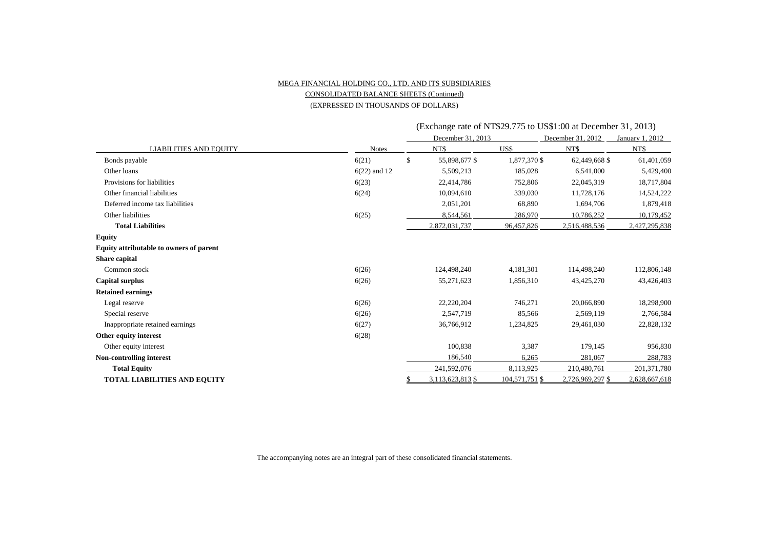#### MEGA FINANCIAL HOLDING CO., LTD. AND ITS SUBSIDIARIES CONSOLIDATED BALANCE SHEETS (Continued)

(EXPRESSED IN THOUSANDS OF DOLLARS)

|                                         |                |    | December 31, 2013 |                | December 31, 2012 | January 1, 2012 |  |
|-----------------------------------------|----------------|----|-------------------|----------------|-------------------|-----------------|--|
| <b>LIABILITIES AND EQUITY</b>           | <b>Notes</b>   |    | NT\$              | US\$           | NT\$              | NT\$            |  |
| Bonds payable                           | 6(21)          | \$ | 55,898,677 \$     | 1,877,370 \$   | 62,449,668 \$     | 61,401,059      |  |
| Other loans                             | $6(22)$ and 12 |    | 5,509,213         | 185,028        | 6,541,000         | 5,429,400       |  |
| Provisions for liabilities              | 6(23)          |    | 22,414,786        | 752,806        | 22,045,319        | 18,717,804      |  |
| Other financial liabilities             | 6(24)          |    | 10,094,610        | 339,030        | 11,728,176        | 14,524,222      |  |
| Deferred income tax liabilities         |                |    | 2,051,201         | 68,890         | 1,694,706         | 1,879,418       |  |
| Other liabilities                       | 6(25)          |    | 8,544,561         | 286,970        | 10,786,252        | 10,179,452      |  |
| <b>Total Liabilities</b>                |                |    | 2,872,031,737     | 96,457,826     | 2,516,488,536     | 2,427,295,838   |  |
| Equity                                  |                |    |                   |                |                   |                 |  |
| Equity attributable to owners of parent |                |    |                   |                |                   |                 |  |
| <b>Share capital</b>                    |                |    |                   |                |                   |                 |  |
| Common stock                            | 6(26)          |    | 124,498,240       | 4,181,301      | 114,498,240       | 112,806,148     |  |
| Capital surplus                         | 6(26)          |    | 55,271,623        | 1,856,310      | 43,425,270        | 43,426,403      |  |
| <b>Retained earnings</b>                |                |    |                   |                |                   |                 |  |
| Legal reserve                           | 6(26)          |    | 22,220,204        | 746,271        | 20,066,890        | 18,298,900      |  |
| Special reserve                         | 6(26)          |    | 2,547,719         | 85,566         | 2,569,119         | 2,766,584       |  |
| Inappropriate retained earnings         | 6(27)          |    | 36,766,912        | 1,234,825      | 29,461,030        | 22,828,132      |  |
| Other equity interest                   | 6(28)          |    |                   |                |                   |                 |  |
| Other equity interest                   |                |    | 100,838           | 3,387          | 179,145           | 956,830         |  |
| <b>Non-controlling interest</b>         |                |    | 186,540           | 6,265          | 281,067           | 288,783         |  |
| <b>Total Equity</b>                     |                |    | 241,592,076       | 8,113,925      | 210,480,761       | 201,371,780     |  |
| <b>TOTAL LIABILITIES AND EQUITY</b>     |                |    | 3,113,623,813 \$  | 104,571,751 \$ | 2,726,969,297 \$  | 2,628,667,618   |  |

(Exchange rate of NT\$29.775 to US\$1:00 at December 31, 2013)

The accompanying notes are an integral part of these consolidated financial statements.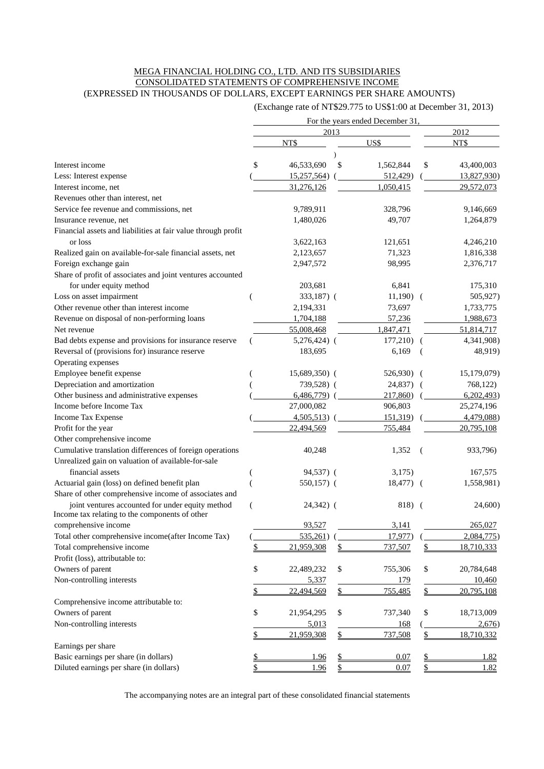#### MEGA FINANCIAL HOLDING CO., LTD. AND ITS SUBSIDIARIES CONSOLIDATED STATEMENTS OF COMPREHENSIVE INCOME (EXPRESSED IN THOUSANDS OF DOLLARS, EXCEPT EARNINGS PER SHARE AMOUNTS)

(Exchange rate of NT\$29.775 to US\$1:00 at December 31, 2013)

|                                                               |                  |      | For the years ended December 31, |                  |
|---------------------------------------------------------------|------------------|------|----------------------------------|------------------|
|                                                               |                  | 2013 |                                  | 2012             |
|                                                               | NT\$             |      | US\$                             | NT\$             |
|                                                               |                  |      |                                  |                  |
| Interest income                                               | \$<br>46,533,690 | \$   | 1,562,844                        | \$<br>43,400,003 |
| Less: Interest expense                                        | 15,257,564)      |      | 512,429)                         | 13,827,930)      |
| Interest income, net                                          | 31,276,126       |      | 1,050,415                        | 29,572,073       |
| Revenues other than interest, net                             |                  |      |                                  |                  |
| Service fee revenue and commissions, net                      | 9,789,911        |      | 328,796                          | 9,146,669        |
| Insurance revenue, net                                        | 1,480,026        |      | 49,707                           | 1,264,879        |
| Financial assets and liabilities at fair value through profit |                  |      |                                  |                  |
| or loss                                                       | 3,622,163        |      | 121,651                          | 4,246,210        |
| Realized gain on available-for-sale financial assets, net     | 2,123,657        |      | 71,323                           | 1,816,338        |
| Foreign exchange gain                                         | 2,947,572        |      | 98,995                           | 2,376,717        |
| Share of profit of associates and joint ventures accounted    |                  |      |                                  |                  |
| for under equity method                                       | 203,681          |      | 6,841                            | 175,310          |
| Loss on asset impairment                                      | 333,187) (       |      | $11,190)$ (                      | 505,927)         |
| Other revenue other than interest income                      | 2,194,331        |      | 73,697                           | 1,733,775        |
| Revenue on disposal of non-performing loans                   | 1,704,188        |      | 57,236                           | 1,988,673        |
| Net revenue                                                   | 55,008,468       |      | 1,847,471                        | 51,814,717       |
| Bad debts expense and provisions for insurance reserve        | $5,276,424$ (    |      | $177,210$ (                      | 4,341,908)       |
| Reversal of (provisions for) insurance reserve                | 183,695          |      | 6,169                            | 48,919)          |
| Operating expenses                                            |                  |      |                                  |                  |
| Employee benefit expense                                      | $15,689,350$ (   |      | $526,930$ (                      | 15,179,079)      |
| Depreciation and amortization                                 | 739,528) (       |      | 24,837) (                        | 768,122)         |
| Other business and administrative expenses                    | $6,486,779$ (    |      | 217,860                          | 6,202,493        |
| Income before Income Tax                                      | 27,000,082       |      | 906,803                          | 25,274,196       |
|                                                               |                  |      |                                  |                  |
| Income Tax Expense                                            | 4,505,513        |      | 151,319)                         | 4,479,088)       |
| Profit for the year                                           | 22,494,569       |      | 755,484                          | 20,795,108       |
| Other comprehensive income                                    |                  |      |                                  |                  |
| Cumulative translation differences of foreign operations      | 40,248           |      | 1,352                            | 933,796)         |
| Unrealized gain on valuation of available-for-sale            |                  |      |                                  |                  |
| financial assets                                              | 94,537) (        |      | 3,175)                           | 167,575          |
| Actuarial gain (loss) on defined benefit plan                 | 550,157) (       |      | $18,477$ (                       | 1,558,981)       |
| Share of other comprehensive income of associates and         |                  |      |                                  |                  |
| joint ventures accounted for under equity method              | $24,342)$ (      |      | 818) (                           | 24,600)          |
| Income tax relating to the components of other                |                  |      |                                  |                  |
| comprehensive income                                          | 93,527           |      | 3,141                            | 265,027          |
| Total other comprehensive income(after Income Tax)            | 535,261)         |      | 17,977)                          | 2,084,775        |
| Total comprehensive income                                    | 21,959,308       | \$   | 737,507                          | \$<br>18,710,333 |
| Profit (loss), attributable to:                               |                  |      |                                  |                  |
| Owners of parent                                              | \$<br>22,489,232 | \$   | 755,306                          | \$<br>20,784,648 |
| Non-controlling interests                                     | 5,337            |      | <u>179</u>                       | 10,460           |
|                                                               | 22,494,569       | \$   | 755,485                          | \$<br>20,795,108 |
| Comprehensive income attributable to:                         |                  |      |                                  |                  |
| Owners of parent                                              | \$<br>21,954,295 | \$   | 737,340                          | \$<br>18,713,009 |
| Non-controlling interests                                     | 5,013            |      | 168                              | 2,676            |
|                                                               | 21,959,308       | \$   | 737,508                          | \$<br>18,710,332 |
| Earnings per share                                            |                  |      |                                  |                  |
| Basic earnings per share (in dollars)                         | 1.96             |      | 0.07                             | 1.82             |
| Diluted earnings per share (in dollars)                       | 1.96             | \$   | 0.07                             | \$<br>1.82       |

The accompanying notes are an integral part of these consolidated financial statements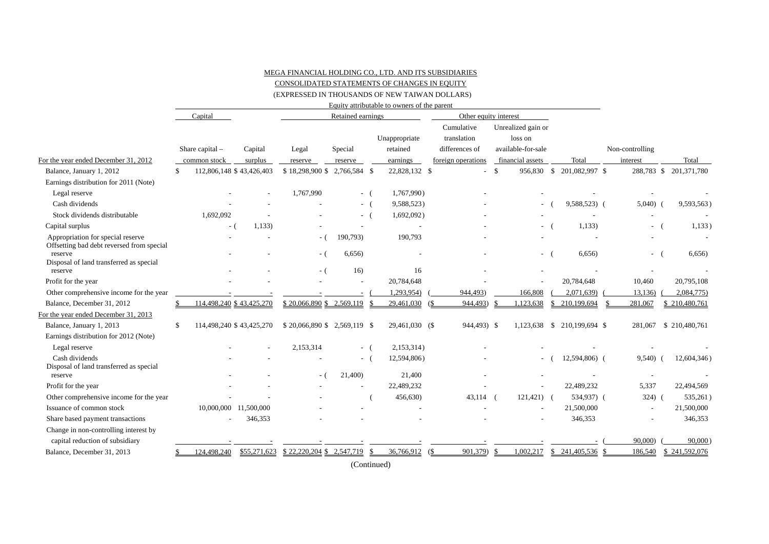#### MEGA FINANCIAL HOLDING CO., LTD. AND ITS SUBSIDIARIES

CONSOLIDATED STATEMENTS OF CHANGES IN EQUITY

(EXPRESSED IN THOUSANDS OF NEW TAIWAN DOLLARS)

|                                                                                |               |                          |            |                                          |                   |       | Equity attributable to owners of the parent |                       |                    |      |                          |                             |                 |                        |
|--------------------------------------------------------------------------------|---------------|--------------------------|------------|------------------------------------------|-------------------|-------|---------------------------------------------|-----------------------|--------------------|------|--------------------------|-----------------------------|-----------------|------------------------|
|                                                                                |               | Capital                  |            |                                          | Retained earnings |       |                                             | Other equity interest |                    |      |                          |                             |                 |                        |
|                                                                                |               |                          |            |                                          |                   |       |                                             |                       | Cumulative         |      | Unrealized gain or       |                             |                 |                        |
|                                                                                |               |                          |            |                                          |                   |       | Unappropriate                               |                       | translation        |      | loss on                  |                             |                 |                        |
|                                                                                |               | Share capital $-$        | Capital    | Legal                                    | Special           |       | retained                                    |                       | differences of     |      | available-for-sale       |                             | Non-controlling |                        |
| For the year ended December 31, 2012                                           |               | common stock             | surplus    | reserve                                  | reserve           |       | earnings                                    |                       | foreign operations |      | financial assets         | Total                       | interest        | Total                  |
| Balance, January 1, 2012                                                       | <sup>\$</sup> | 112,806,148 \$43,426,403 |            | \$18,298,900 \$2,766,584 \$              |                   |       | 22,828,132 \$                               |                       |                    | - \$ |                          | 956,830 \$ 201,082,997 \$   |                 | 288,783 \$ 201,371,780 |
| Earnings distribution for 2011 (Note)                                          |               |                          |            |                                          |                   |       |                                             |                       |                    |      |                          |                             |                 |                        |
| Legal reserve                                                                  |               |                          |            | 1,767,990                                |                   | $-$ ( | 1,767,990)                                  |                       |                    |      |                          |                             |                 |                        |
| Cash dividends                                                                 |               |                          |            |                                          | $-$ (             |       | 9,588,523)                                  |                       |                    |      | $\overline{\phantom{a}}$ | 9,588,523) (                | 5,040           | 9,593,563)             |
| Stock dividends distributable                                                  |               | 1,692,092                |            |                                          | $-$ (             |       | 1,692,092)                                  |                       |                    |      |                          |                             |                 |                        |
| Capital surplus                                                                |               | - (                      | 1,133      |                                          |                   |       |                                             |                       |                    |      | $-$ (                    | 1,133                       | $\sim$          | 1,133)                 |
| Appropriation for special reserve<br>Offsetting bad debt reversed from special |               |                          |            | - (                                      | 190,793)          |       | 190,793                                     |                       |                    |      |                          |                             |                 |                        |
| reserve<br>Disposal of land transferred as special                             |               |                          |            | - (                                      | 6,656             |       |                                             |                       |                    |      | $-$ (                    | 6,656                       | $\sim 100$      | 6,656                  |
| reserve                                                                        |               |                          |            | - (                                      | 16)               |       | 16                                          |                       |                    |      |                          |                             |                 |                        |
| Profit for the year                                                            |               |                          |            |                                          |                   |       | 20,784,648                                  |                       |                    |      |                          | 20,784,648                  | 10,460          | 20,795,108             |
| Other comprehensive income for the year                                        |               |                          |            |                                          |                   |       | 1,293,954)                                  |                       | 944,493)           |      | 166,808                  | 2,071,639)                  | 13,136)         | 2,084,775)             |
| Balance, December 31, 2012                                                     |               | 114,498,240 \$43,425,270 |            | \$20.066.890 \$2.569.119                 |                   |       | 29.461.030                                  |                       | 944,493)           |      | 1.123.638                | \$ 210,199,694              | 281.067         | \$210,480,761          |
| For the year ended December 31, 2013                                           |               |                          |            |                                          |                   |       |                                             |                       |                    |      |                          |                             |                 |                        |
| Balance, January 1, 2013                                                       | <sup>\$</sup> | 114,498,240 \$43,425,270 |            | \$20,066,890 \$2,569,119 \$              |                   |       | 29,461,030 (\$                              |                       | 944,493) \$        |      |                          | 1,123,638 \$ 210,199,694 \$ | 281,067         | \$210,480,761          |
| Earnings distribution for 2012 (Note)                                          |               |                          |            |                                          |                   |       |                                             |                       |                    |      |                          |                             |                 |                        |
| Legal reserve                                                                  |               |                          |            | 2,153,314                                | - (               |       | 2,153,314)                                  |                       |                    |      |                          |                             |                 |                        |
| Cash dividends                                                                 |               |                          |            |                                          | $-$ (             |       | 12,594,806)                                 |                       |                    |      | - (                      | 12,594,806) (               | 9,540)          | 12,604,346)            |
| Disposal of land transferred as special<br>reserve                             |               |                          |            | - (                                      | 21,400)           |       | 21,400                                      |                       |                    |      |                          |                             |                 |                        |
| Profit for the year                                                            |               |                          |            |                                          |                   |       | 22,489,232                                  |                       |                    |      | $\overline{a}$           | 22,489,232                  | 5,337           | 22,494,569             |
| Other comprehensive income for the year                                        |               |                          |            |                                          |                   |       | 456,630)                                    |                       | 43,114             |      | $121,421$ (              | 534,937) (                  | 324)            | 535,261)               |
| Issuance of common stock                                                       |               | 10,000,000               | 11,500,000 |                                          |                   |       |                                             |                       |                    |      |                          | 21,500,000                  |                 | 21,500,000             |
| Share based payment transactions                                               |               |                          | 346,353    |                                          |                   |       |                                             |                       |                    |      |                          | 346,353                     |                 | 346,353                |
| Change in non-controlling interest by                                          |               |                          |            |                                          |                   |       |                                             |                       |                    |      |                          |                             |                 |                        |
| capital reduction of subsidiary                                                |               |                          |            |                                          |                   |       |                                             |                       |                    |      |                          |                             | 90,000)         | 90,000                 |
| Balance, December 31, 2013                                                     |               | 124,498,240              |            | $$55,271,623$ $$22,220,204$ $$2,547,719$ |                   |       | 36,766,912                                  | (\$                   | 901,379)           | -S   | 1,002,217                | $$241,405,536$ \$           | 186,540         | \$241,592,076          |
|                                                                                |               |                          |            |                                          |                   |       |                                             |                       |                    |      |                          |                             |                 |                        |

(Continued)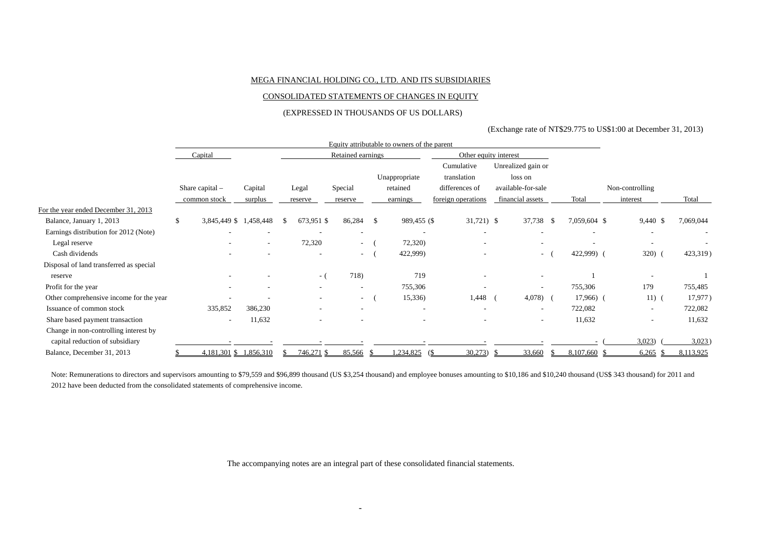#### MEGA FINANCIAL HOLDING CO., LTD. AND ITS SUBSIDIARIES

#### CONSOLIDATED STATEMENTS OF CHANGES IN EQUITY

#### (EXPRESSED IN THOUSANDS OF US DOLLARS)

#### (Exchange rate of NT\$29.775 to US\$1:00 at December 31, 2013)

|                                         |                          |           |    |                          |                          |               | Equity attributable to owners of the parent |                           |    |                               |    |              |                 |               |           |  |
|-----------------------------------------|--------------------------|-----------|----|--------------------------|--------------------------|---------------|---------------------------------------------|---------------------------|----|-------------------------------|----|--------------|-----------------|---------------|-----------|--|
|                                         | Capital                  |           |    |                          | Retained earnings        |               |                                             | Other equity interest     |    |                               |    |              |                 |               |           |  |
|                                         |                          |           |    |                          |                          | Unappropriate |                                             | Cumulative<br>translation |    | Unrealized gain or<br>loss on |    |              |                 |               |           |  |
|                                         | Share capital $-$        | Capital   |    | Legal                    | Special                  |               | retained                                    | differences of            |    | available-for-sale            |    |              | Non-controlling |               |           |  |
|                                         | common stock             | surplus   |    | reserve                  | reserve                  |               | earnings                                    | foreign operations        |    | financial assets              |    | Total        | interest        |               | Total     |  |
| For the year ended December 31, 2013    |                          |           |    |                          |                          |               |                                             |                           |    |                               |    |              |                 |               |           |  |
| Balance, January 1, 2013                | \$<br>3,845,449 \$       | 1,458,448 | -S | 673,951 \$               | 86,284                   | -S            | 989,455 (\$                                 | $31,721$ \$               |    | 37,738 \$                     |    | 7,059,604 \$ |                 | 9,440 \$      | 7,069,044 |  |
| Earnings distribution for 2012 (Note)   |                          |           |    |                          | ٠                        |               |                                             |                           |    |                               |    |              |                 | $\sim$        |           |  |
| Legal reserve                           |                          |           |    | 72,320                   | $\sim$                   |               | 72,320)                                     |                           |    |                               |    |              |                 |               |           |  |
| Cash dividends                          |                          |           |    |                          | $\sim$                   |               | 422,999)                                    |                           |    | $\sim$                        |    | 422,999) (   |                 | 320)          | 423,319)  |  |
| Disposal of land transferred as special |                          |           |    |                          |                          |               |                                             |                           |    |                               |    |              |                 |               |           |  |
| reserve                                 |                          |           |    | - (                      | 718)                     |               | 719                                         |                           |    |                               |    |              |                 |               |           |  |
| Profit for the year                     | $\overline{\phantom{a}}$ |           |    | $\sim$                   | ٠                        |               | 755,306                                     |                           |    |                               |    | 755,306      |                 | 179           | 755,485   |  |
| Other comprehensive income for the year |                          |           |    | $\overline{\phantom{a}}$ | $\sim$                   |               | 15,336)                                     | 1,448                     |    | 4,078)                        |    | $17,966$ (   |                 | $11)$ (       | 17,977)   |  |
| Issuance of common stock                | 335,852                  | 386,230   |    | $\overline{\phantom{a}}$ | $\overline{\phantom{a}}$ |               | $\overline{\phantom{a}}$                    | $\overline{\phantom{a}}$  |    | $\overline{\phantom{a}}$      |    | 722,082      |                 | $\sim$        | 722,082   |  |
| Share based payment transaction         | $\sim$                   | 11,632    |    |                          |                          |               |                                             |                           |    | $\sim$                        |    | 11,632       |                 | $\sim$        | 11,632    |  |
| Change in non-controlling interest by   |                          |           |    |                          |                          |               |                                             |                           |    |                               |    |              |                 |               |           |  |
| capital reduction of subsidiary         |                          |           |    |                          |                          |               |                                             |                           |    |                               |    |              |                 | 3,023         | 3,023     |  |
| Balance, December 31, 2013              | 4,181,301 \$ 1,856,310   |           |    | 746,271 \$               | 85,566 \$                |               | $1,234,825$ (\$)                            | 30,273                    | -8 | 33,660                        | S. | 8,107,660 \$ |                 | 6,265<br>- \$ | 8,113,925 |  |

Note: Remunerations to directors and supervisors amounting to \$79,559 and \$96,899 thousand (US \$3,254 thousand) and employee bonuses amounting to \$10,186 and \$10,240 thousand (US\$ 343 thousand) for 2011 and 2012 have been deducted from the consolidated statements of comprehensive income.

The accompanying notes are an integral part of these consolidated financial statements.

-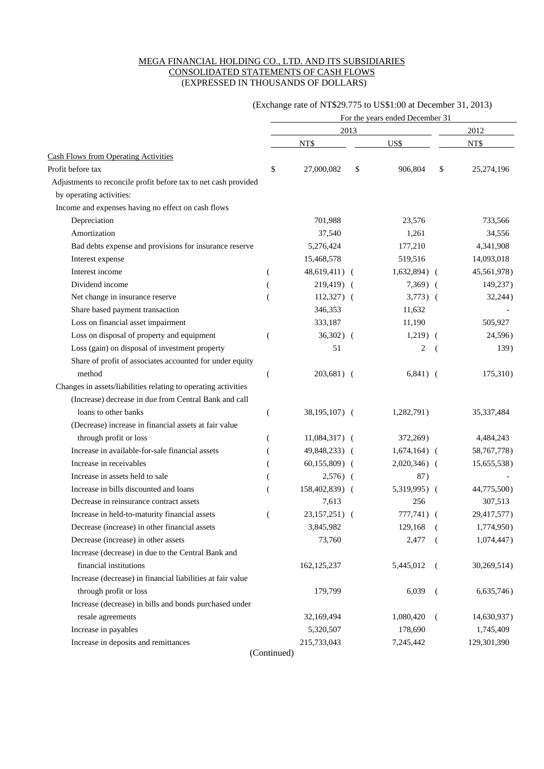#### MEGA FINANCIAL HOLDING CO., LTD. AND ITS SUBSIDIARIES CONSOLIDATED STATEMENTS OF CASH FLOWS (EXPRESSED IN THOUSANDS OF DOLLARS)

#### (Exchange rate of NT\$29.775 to US\$1:00 at December 31, 2013)

|                                                                 | For the years ended December 31 |                |    |                |                          |             |  |  |  |
|-----------------------------------------------------------------|---------------------------------|----------------|----|----------------|--------------------------|-------------|--|--|--|
|                                                                 |                                 | 2013           |    |                |                          | 2012        |  |  |  |
|                                                                 |                                 | NT\$           |    | US\$           |                          | NT\$        |  |  |  |
| <b>Cash Flows from Operating Activities</b>                     |                                 |                |    |                |                          |             |  |  |  |
| Profit before tax                                               | \$                              | 27,000,082     | \$ | 906,804        | \$                       | 25,274,196  |  |  |  |
| Adjustments to reconcile profit before tax to net cash provided |                                 |                |    |                |                          |             |  |  |  |
| by operating activities:                                        |                                 |                |    |                |                          |             |  |  |  |
| Income and expenses having no effect on cash flows              |                                 |                |    |                |                          |             |  |  |  |
| Depreciation                                                    |                                 | 701,988        |    | 23,576         |                          | 733,566     |  |  |  |
| Amortization                                                    |                                 | 37,540         |    | 1,261          |                          | 34,556      |  |  |  |
| Bad debts expense and provisions for insurance reserve          |                                 | 5,276,424      |    | 177,210        |                          | 4,341,908   |  |  |  |
| Interest expense                                                |                                 | 15,468,578     |    | 519,516        |                          | 14,093,018  |  |  |  |
| Interest income                                                 |                                 | 48,619,411) (  |    | $1,632,894$ (  |                          | 45,561,978) |  |  |  |
| Dividend income                                                 |                                 | 219,419) (     |    | $7,369$ (      |                          | 149,237)    |  |  |  |
| Net change in insurance reserve                                 |                                 | $112,327$ (    |    | $3,773)$ (     |                          | 32,244)     |  |  |  |
| Share based payment transaction                                 |                                 | 346,353        |    | 11,632         |                          |             |  |  |  |
| Loss on financial asset impairment                              |                                 | 333,187        |    | 11,190         |                          | 505,927     |  |  |  |
| Loss on disposal of property and equipment                      |                                 | $36,302)$ (    |    | $1,219)$ (     |                          | 24,596)     |  |  |  |
| Loss (gain) on disposal of investment property                  |                                 | 51             |    | 2              | $\overline{\mathcal{L}}$ | 139)        |  |  |  |
| Share of profit of associates accounted for under equity        |                                 |                |    |                |                          |             |  |  |  |
| method                                                          | (                               | $203,681)$ (   |    | $6,841)$ (     |                          | 175,310)    |  |  |  |
| Changes in assets/liabilities relating to operating activities  |                                 |                |    |                |                          |             |  |  |  |
| (Increase) decrease in due from Central Bank and call           |                                 |                |    |                |                          |             |  |  |  |
| loans to other banks                                            |                                 | 38,195,107) (  |    | 1,282,791)     |                          | 35,337,484  |  |  |  |
| (Decrease) increase in financial assets at fair value           |                                 |                |    |                |                          |             |  |  |  |
| through profit or loss                                          |                                 | $11,084,317$ ( |    | 372,269)       |                          | 4,484,243   |  |  |  |
| Increase in available-for-sale financial assets                 |                                 | 49,848,233) (  |    | $1,674,164)$ ( |                          | 58,767,778) |  |  |  |
| Increase in receivables                                         |                                 | $60,155,809$ ( |    | $2,020,346$ (  |                          | 15,655,538) |  |  |  |
| Increase in assets held to sale                                 |                                 | $2,576$ (      |    | 87)            |                          |             |  |  |  |
| Increase in bills discounted and loans                          |                                 | 158,402,839) ( |    | 5,319,995) (   |                          | 44,775,500) |  |  |  |
| Decrease in reinsurance contract assets                         |                                 | 7,613          |    | 256            |                          | 307,513     |  |  |  |
| Increase in held-to-maturity financial assets                   |                                 | 23,157,251) (  |    | $777,741)$ (   |                          | 29,417,577) |  |  |  |
| Decrease (increase) in other financial assets                   |                                 | 3,845,982      |    | 129,168        |                          | 1,774,950)  |  |  |  |
| Decrease (increase) in other assets                             |                                 | 73,760         |    | 2,477          |                          | 1,074,447)  |  |  |  |
| Increase (decrease) in due to the Central Bank and              |                                 |                |    |                |                          |             |  |  |  |
| financial institutions                                          |                                 | 162, 125, 237  |    | 5,445,012      |                          | 30,269,514) |  |  |  |
| Increase (decrease) in financial liabilities at fair value      |                                 |                |    |                |                          |             |  |  |  |
| through profit or loss                                          |                                 | 179,799        |    | 6,039          | $\overline{ }$           | 6,635,746)  |  |  |  |
| Increase (decrease) in bills and bonds purchased under          |                                 |                |    |                |                          |             |  |  |  |
| resale agreements                                               |                                 | 32,169,494     |    | 1,080,420      | - (                      | 14,630,937) |  |  |  |
| Increase in payables                                            |                                 | 5,320,507      |    | 178,690        |                          | 1,745,409   |  |  |  |
| Increase in deposits and remittances                            |                                 | 215,733,043    |    | 7,245,442      |                          | 129,301,390 |  |  |  |
|                                                                 |                                 |                |    |                |                          |             |  |  |  |

(Continued)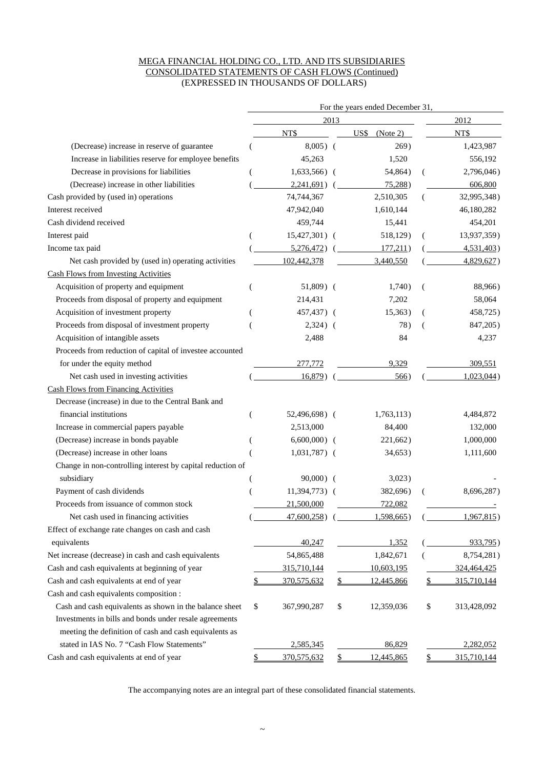#### MEGA FINANCIAL HOLDING CO., LTD. AND ITS SUBSIDIARIES CONSOLIDATED STATEMENTS OF CASH FLOWS (Continued) (EXPRESSED IN THOUSANDS OF DOLLARS)

| 2012<br>2013<br>NT\$<br>NT\$<br>$USS$ (Note 2)<br>$8,005)$ (<br>269)<br>1,423,987<br>(Decrease) increase in reserve of guarantee<br>Increase in liabilities reserve for employee benefits<br>45,263<br>1,520<br>556,192<br>Decrease in provisions for liabilities<br>$1,633,566$ (<br>54,864)<br>2,796,046)<br>(Decrease) increase in other liabilities<br>2,241,691)<br>75,288<br>606,800<br>74,744,367<br>2,510,305<br>32,995,348)<br>47,942,040<br>1,610,144<br>46,180,282<br>Cash dividend received<br>459,744<br>15,441<br>454,201<br>Interest paid<br>15,427,301)<br>518,129)<br>13,937,359)<br>Income tax paid<br>5,276,472)<br>177,211)<br>4,531,403<br>Net cash provided by (used in) operating activities<br>102,442,378<br>3,440,550<br>4,829,627)<br><b>Cash Flows from Investing Activities</b><br>Acquisition of property and equipment<br>$51,809$ (<br>1,740)<br>88,966)<br>Proceeds from disposal of property and equipment<br>214,431<br>7,202<br>58,064<br>Acquisition of investment property<br>457,437) (<br>458,725)<br>15,363)<br>Proceeds from disposal of investment property<br>$2,324)$ (<br>78)<br>847,205)<br>- (<br>Acquisition of intangible assets<br>2,488<br>84<br>4,237<br>Proceeds from reduction of capital of investee accounted<br>for under the equity method<br>309,551<br>277,772<br>9,329<br>Net cash used in investing activities<br>16,879)<br>566)<br>$1,023,044$ )<br><b>Cash Flows from Financing Activities</b><br>Decrease (increase) in due to the Central Bank and<br>financial institutions<br>1,763,113)<br>4,484,872<br>52,496,698) (<br>Increase in commercial papers payable<br>2,513,000<br>84,400<br>132,000<br>(Decrease) increase in bonds payable<br>$6,600,000$ (<br>1,000,000<br>221,662)<br>(Decrease) increase in other loans<br>$1,031,787$ (<br>1,111,600<br>34,653)<br>Change in non-controlling interest by capital reduction of<br>subsidiary<br>$90,000)$ (<br>3,023)<br>Payment of cash dividends<br>11,394,773) (<br>382,696)<br>8,696,287)<br>Proceeds from issuance of common stock<br>21,500,000<br>722,082<br>Net cash used in financing activities<br>$47,600,258$ )<br>$1,598,665$ )<br>1,967,815<br>Effect of exchange rate changes on cash and cash<br>equivalents<br>40,247<br>1,352<br>933,795)<br>54,865,488<br>1,842,671<br>Net increase (decrease) in cash and cash equivalents<br>8,754,281)<br>Cash and cash equivalents at beginning of year<br>315,710,144<br>10,603,195<br>324,464,425<br>Cash and cash equivalents at end of year<br>370,575,632<br>12,445,866<br>315,710,144<br>\$<br>\$<br>\$<br>Cash and cash equivalents composition :<br>Cash and cash equivalents as shown in the balance sheet<br>\$<br>\$<br>\$<br>367,990,287<br>12,359,036<br>313,428,092<br>Investments in bills and bonds under resale agreements<br>meeting the definition of cash and cash equivalents as<br>stated in IAS No. 7 "Cash Flow Statements"<br>2,585,345<br>86,829<br>2,282,052<br>Cash and cash equivalents at end of year<br>370,575,632<br>12,445,865<br>315,710,144<br>\$<br>\$<br>\$ |                                       | For the years ended December 31, |  |  |  |  |  |  |  |  |
|----------------------------------------------------------------------------------------------------------------------------------------------------------------------------------------------------------------------------------------------------------------------------------------------------------------------------------------------------------------------------------------------------------------------------------------------------------------------------------------------------------------------------------------------------------------------------------------------------------------------------------------------------------------------------------------------------------------------------------------------------------------------------------------------------------------------------------------------------------------------------------------------------------------------------------------------------------------------------------------------------------------------------------------------------------------------------------------------------------------------------------------------------------------------------------------------------------------------------------------------------------------------------------------------------------------------------------------------------------------------------------------------------------------------------------------------------------------------------------------------------------------------------------------------------------------------------------------------------------------------------------------------------------------------------------------------------------------------------------------------------------------------------------------------------------------------------------------------------------------------------------------------------------------------------------------------------------------------------------------------------------------------------------------------------------------------------------------------------------------------------------------------------------------------------------------------------------------------------------------------------------------------------------------------------------------------------------------------------------------------------------------------------------------------------------------------------------------------------------------------------------------------------------------------------------------------------------------------------------------------------------------------------------------------------------------------------------------------------------------------------------------------------------------------------------------------------------------------------------------------------------------------------------------------------------------------------------------------------------------------------------------------------------------------------------------------------------|---------------------------------------|----------------------------------|--|--|--|--|--|--|--|--|
|                                                                                                                                                                                                                                                                                                                                                                                                                                                                                                                                                                                                                                                                                                                                                                                                                                                                                                                                                                                                                                                                                                                                                                                                                                                                                                                                                                                                                                                                                                                                                                                                                                                                                                                                                                                                                                                                                                                                                                                                                                                                                                                                                                                                                                                                                                                                                                                                                                                                                                                                                                                                                                                                                                                                                                                                                                                                                                                                                                                                                                                                                  |                                       |                                  |  |  |  |  |  |  |  |  |
|                                                                                                                                                                                                                                                                                                                                                                                                                                                                                                                                                                                                                                                                                                                                                                                                                                                                                                                                                                                                                                                                                                                                                                                                                                                                                                                                                                                                                                                                                                                                                                                                                                                                                                                                                                                                                                                                                                                                                                                                                                                                                                                                                                                                                                                                                                                                                                                                                                                                                                                                                                                                                                                                                                                                                                                                                                                                                                                                                                                                                                                                                  |                                       |                                  |  |  |  |  |  |  |  |  |
|                                                                                                                                                                                                                                                                                                                                                                                                                                                                                                                                                                                                                                                                                                                                                                                                                                                                                                                                                                                                                                                                                                                                                                                                                                                                                                                                                                                                                                                                                                                                                                                                                                                                                                                                                                                                                                                                                                                                                                                                                                                                                                                                                                                                                                                                                                                                                                                                                                                                                                                                                                                                                                                                                                                                                                                                                                                                                                                                                                                                                                                                                  |                                       |                                  |  |  |  |  |  |  |  |  |
|                                                                                                                                                                                                                                                                                                                                                                                                                                                                                                                                                                                                                                                                                                                                                                                                                                                                                                                                                                                                                                                                                                                                                                                                                                                                                                                                                                                                                                                                                                                                                                                                                                                                                                                                                                                                                                                                                                                                                                                                                                                                                                                                                                                                                                                                                                                                                                                                                                                                                                                                                                                                                                                                                                                                                                                                                                                                                                                                                                                                                                                                                  |                                       |                                  |  |  |  |  |  |  |  |  |
|                                                                                                                                                                                                                                                                                                                                                                                                                                                                                                                                                                                                                                                                                                                                                                                                                                                                                                                                                                                                                                                                                                                                                                                                                                                                                                                                                                                                                                                                                                                                                                                                                                                                                                                                                                                                                                                                                                                                                                                                                                                                                                                                                                                                                                                                                                                                                                                                                                                                                                                                                                                                                                                                                                                                                                                                                                                                                                                                                                                                                                                                                  |                                       |                                  |  |  |  |  |  |  |  |  |
|                                                                                                                                                                                                                                                                                                                                                                                                                                                                                                                                                                                                                                                                                                                                                                                                                                                                                                                                                                                                                                                                                                                                                                                                                                                                                                                                                                                                                                                                                                                                                                                                                                                                                                                                                                                                                                                                                                                                                                                                                                                                                                                                                                                                                                                                                                                                                                                                                                                                                                                                                                                                                                                                                                                                                                                                                                                                                                                                                                                                                                                                                  |                                       |                                  |  |  |  |  |  |  |  |  |
|                                                                                                                                                                                                                                                                                                                                                                                                                                                                                                                                                                                                                                                                                                                                                                                                                                                                                                                                                                                                                                                                                                                                                                                                                                                                                                                                                                                                                                                                                                                                                                                                                                                                                                                                                                                                                                                                                                                                                                                                                                                                                                                                                                                                                                                                                                                                                                                                                                                                                                                                                                                                                                                                                                                                                                                                                                                                                                                                                                                                                                                                                  | Cash provided by (used in) operations |                                  |  |  |  |  |  |  |  |  |
|                                                                                                                                                                                                                                                                                                                                                                                                                                                                                                                                                                                                                                                                                                                                                                                                                                                                                                                                                                                                                                                                                                                                                                                                                                                                                                                                                                                                                                                                                                                                                                                                                                                                                                                                                                                                                                                                                                                                                                                                                                                                                                                                                                                                                                                                                                                                                                                                                                                                                                                                                                                                                                                                                                                                                                                                                                                                                                                                                                                                                                                                                  | Interest received                     |                                  |  |  |  |  |  |  |  |  |
|                                                                                                                                                                                                                                                                                                                                                                                                                                                                                                                                                                                                                                                                                                                                                                                                                                                                                                                                                                                                                                                                                                                                                                                                                                                                                                                                                                                                                                                                                                                                                                                                                                                                                                                                                                                                                                                                                                                                                                                                                                                                                                                                                                                                                                                                                                                                                                                                                                                                                                                                                                                                                                                                                                                                                                                                                                                                                                                                                                                                                                                                                  |                                       |                                  |  |  |  |  |  |  |  |  |
|                                                                                                                                                                                                                                                                                                                                                                                                                                                                                                                                                                                                                                                                                                                                                                                                                                                                                                                                                                                                                                                                                                                                                                                                                                                                                                                                                                                                                                                                                                                                                                                                                                                                                                                                                                                                                                                                                                                                                                                                                                                                                                                                                                                                                                                                                                                                                                                                                                                                                                                                                                                                                                                                                                                                                                                                                                                                                                                                                                                                                                                                                  |                                       |                                  |  |  |  |  |  |  |  |  |
|                                                                                                                                                                                                                                                                                                                                                                                                                                                                                                                                                                                                                                                                                                                                                                                                                                                                                                                                                                                                                                                                                                                                                                                                                                                                                                                                                                                                                                                                                                                                                                                                                                                                                                                                                                                                                                                                                                                                                                                                                                                                                                                                                                                                                                                                                                                                                                                                                                                                                                                                                                                                                                                                                                                                                                                                                                                                                                                                                                                                                                                                                  |                                       |                                  |  |  |  |  |  |  |  |  |
|                                                                                                                                                                                                                                                                                                                                                                                                                                                                                                                                                                                                                                                                                                                                                                                                                                                                                                                                                                                                                                                                                                                                                                                                                                                                                                                                                                                                                                                                                                                                                                                                                                                                                                                                                                                                                                                                                                                                                                                                                                                                                                                                                                                                                                                                                                                                                                                                                                                                                                                                                                                                                                                                                                                                                                                                                                                                                                                                                                                                                                                                                  |                                       |                                  |  |  |  |  |  |  |  |  |
|                                                                                                                                                                                                                                                                                                                                                                                                                                                                                                                                                                                                                                                                                                                                                                                                                                                                                                                                                                                                                                                                                                                                                                                                                                                                                                                                                                                                                                                                                                                                                                                                                                                                                                                                                                                                                                                                                                                                                                                                                                                                                                                                                                                                                                                                                                                                                                                                                                                                                                                                                                                                                                                                                                                                                                                                                                                                                                                                                                                                                                                                                  |                                       |                                  |  |  |  |  |  |  |  |  |
|                                                                                                                                                                                                                                                                                                                                                                                                                                                                                                                                                                                                                                                                                                                                                                                                                                                                                                                                                                                                                                                                                                                                                                                                                                                                                                                                                                                                                                                                                                                                                                                                                                                                                                                                                                                                                                                                                                                                                                                                                                                                                                                                                                                                                                                                                                                                                                                                                                                                                                                                                                                                                                                                                                                                                                                                                                                                                                                                                                                                                                                                                  |                                       |                                  |  |  |  |  |  |  |  |  |
|                                                                                                                                                                                                                                                                                                                                                                                                                                                                                                                                                                                                                                                                                                                                                                                                                                                                                                                                                                                                                                                                                                                                                                                                                                                                                                                                                                                                                                                                                                                                                                                                                                                                                                                                                                                                                                                                                                                                                                                                                                                                                                                                                                                                                                                                                                                                                                                                                                                                                                                                                                                                                                                                                                                                                                                                                                                                                                                                                                                                                                                                                  |                                       |                                  |  |  |  |  |  |  |  |  |
|                                                                                                                                                                                                                                                                                                                                                                                                                                                                                                                                                                                                                                                                                                                                                                                                                                                                                                                                                                                                                                                                                                                                                                                                                                                                                                                                                                                                                                                                                                                                                                                                                                                                                                                                                                                                                                                                                                                                                                                                                                                                                                                                                                                                                                                                                                                                                                                                                                                                                                                                                                                                                                                                                                                                                                                                                                                                                                                                                                                                                                                                                  |                                       |                                  |  |  |  |  |  |  |  |  |
|                                                                                                                                                                                                                                                                                                                                                                                                                                                                                                                                                                                                                                                                                                                                                                                                                                                                                                                                                                                                                                                                                                                                                                                                                                                                                                                                                                                                                                                                                                                                                                                                                                                                                                                                                                                                                                                                                                                                                                                                                                                                                                                                                                                                                                                                                                                                                                                                                                                                                                                                                                                                                                                                                                                                                                                                                                                                                                                                                                                                                                                                                  |                                       |                                  |  |  |  |  |  |  |  |  |
|                                                                                                                                                                                                                                                                                                                                                                                                                                                                                                                                                                                                                                                                                                                                                                                                                                                                                                                                                                                                                                                                                                                                                                                                                                                                                                                                                                                                                                                                                                                                                                                                                                                                                                                                                                                                                                                                                                                                                                                                                                                                                                                                                                                                                                                                                                                                                                                                                                                                                                                                                                                                                                                                                                                                                                                                                                                                                                                                                                                                                                                                                  |                                       |                                  |  |  |  |  |  |  |  |  |
|                                                                                                                                                                                                                                                                                                                                                                                                                                                                                                                                                                                                                                                                                                                                                                                                                                                                                                                                                                                                                                                                                                                                                                                                                                                                                                                                                                                                                                                                                                                                                                                                                                                                                                                                                                                                                                                                                                                                                                                                                                                                                                                                                                                                                                                                                                                                                                                                                                                                                                                                                                                                                                                                                                                                                                                                                                                                                                                                                                                                                                                                                  |                                       |                                  |  |  |  |  |  |  |  |  |
|                                                                                                                                                                                                                                                                                                                                                                                                                                                                                                                                                                                                                                                                                                                                                                                                                                                                                                                                                                                                                                                                                                                                                                                                                                                                                                                                                                                                                                                                                                                                                                                                                                                                                                                                                                                                                                                                                                                                                                                                                                                                                                                                                                                                                                                                                                                                                                                                                                                                                                                                                                                                                                                                                                                                                                                                                                                                                                                                                                                                                                                                                  |                                       |                                  |  |  |  |  |  |  |  |  |
|                                                                                                                                                                                                                                                                                                                                                                                                                                                                                                                                                                                                                                                                                                                                                                                                                                                                                                                                                                                                                                                                                                                                                                                                                                                                                                                                                                                                                                                                                                                                                                                                                                                                                                                                                                                                                                                                                                                                                                                                                                                                                                                                                                                                                                                                                                                                                                                                                                                                                                                                                                                                                                                                                                                                                                                                                                                                                                                                                                                                                                                                                  |                                       |                                  |  |  |  |  |  |  |  |  |
|                                                                                                                                                                                                                                                                                                                                                                                                                                                                                                                                                                                                                                                                                                                                                                                                                                                                                                                                                                                                                                                                                                                                                                                                                                                                                                                                                                                                                                                                                                                                                                                                                                                                                                                                                                                                                                                                                                                                                                                                                                                                                                                                                                                                                                                                                                                                                                                                                                                                                                                                                                                                                                                                                                                                                                                                                                                                                                                                                                                                                                                                                  |                                       |                                  |  |  |  |  |  |  |  |  |
|                                                                                                                                                                                                                                                                                                                                                                                                                                                                                                                                                                                                                                                                                                                                                                                                                                                                                                                                                                                                                                                                                                                                                                                                                                                                                                                                                                                                                                                                                                                                                                                                                                                                                                                                                                                                                                                                                                                                                                                                                                                                                                                                                                                                                                                                                                                                                                                                                                                                                                                                                                                                                                                                                                                                                                                                                                                                                                                                                                                                                                                                                  |                                       |                                  |  |  |  |  |  |  |  |  |
|                                                                                                                                                                                                                                                                                                                                                                                                                                                                                                                                                                                                                                                                                                                                                                                                                                                                                                                                                                                                                                                                                                                                                                                                                                                                                                                                                                                                                                                                                                                                                                                                                                                                                                                                                                                                                                                                                                                                                                                                                                                                                                                                                                                                                                                                                                                                                                                                                                                                                                                                                                                                                                                                                                                                                                                                                                                                                                                                                                                                                                                                                  |                                       |                                  |  |  |  |  |  |  |  |  |
|                                                                                                                                                                                                                                                                                                                                                                                                                                                                                                                                                                                                                                                                                                                                                                                                                                                                                                                                                                                                                                                                                                                                                                                                                                                                                                                                                                                                                                                                                                                                                                                                                                                                                                                                                                                                                                                                                                                                                                                                                                                                                                                                                                                                                                                                                                                                                                                                                                                                                                                                                                                                                                                                                                                                                                                                                                                                                                                                                                                                                                                                                  |                                       |                                  |  |  |  |  |  |  |  |  |
|                                                                                                                                                                                                                                                                                                                                                                                                                                                                                                                                                                                                                                                                                                                                                                                                                                                                                                                                                                                                                                                                                                                                                                                                                                                                                                                                                                                                                                                                                                                                                                                                                                                                                                                                                                                                                                                                                                                                                                                                                                                                                                                                                                                                                                                                                                                                                                                                                                                                                                                                                                                                                                                                                                                                                                                                                                                                                                                                                                                                                                                                                  |                                       |                                  |  |  |  |  |  |  |  |  |
|                                                                                                                                                                                                                                                                                                                                                                                                                                                                                                                                                                                                                                                                                                                                                                                                                                                                                                                                                                                                                                                                                                                                                                                                                                                                                                                                                                                                                                                                                                                                                                                                                                                                                                                                                                                                                                                                                                                                                                                                                                                                                                                                                                                                                                                                                                                                                                                                                                                                                                                                                                                                                                                                                                                                                                                                                                                                                                                                                                                                                                                                                  |                                       |                                  |  |  |  |  |  |  |  |  |
|                                                                                                                                                                                                                                                                                                                                                                                                                                                                                                                                                                                                                                                                                                                                                                                                                                                                                                                                                                                                                                                                                                                                                                                                                                                                                                                                                                                                                                                                                                                                                                                                                                                                                                                                                                                                                                                                                                                                                                                                                                                                                                                                                                                                                                                                                                                                                                                                                                                                                                                                                                                                                                                                                                                                                                                                                                                                                                                                                                                                                                                                                  |                                       |                                  |  |  |  |  |  |  |  |  |
|                                                                                                                                                                                                                                                                                                                                                                                                                                                                                                                                                                                                                                                                                                                                                                                                                                                                                                                                                                                                                                                                                                                                                                                                                                                                                                                                                                                                                                                                                                                                                                                                                                                                                                                                                                                                                                                                                                                                                                                                                                                                                                                                                                                                                                                                                                                                                                                                                                                                                                                                                                                                                                                                                                                                                                                                                                                                                                                                                                                                                                                                                  |                                       |                                  |  |  |  |  |  |  |  |  |
|                                                                                                                                                                                                                                                                                                                                                                                                                                                                                                                                                                                                                                                                                                                                                                                                                                                                                                                                                                                                                                                                                                                                                                                                                                                                                                                                                                                                                                                                                                                                                                                                                                                                                                                                                                                                                                                                                                                                                                                                                                                                                                                                                                                                                                                                                                                                                                                                                                                                                                                                                                                                                                                                                                                                                                                                                                                                                                                                                                                                                                                                                  |                                       |                                  |  |  |  |  |  |  |  |  |
|                                                                                                                                                                                                                                                                                                                                                                                                                                                                                                                                                                                                                                                                                                                                                                                                                                                                                                                                                                                                                                                                                                                                                                                                                                                                                                                                                                                                                                                                                                                                                                                                                                                                                                                                                                                                                                                                                                                                                                                                                                                                                                                                                                                                                                                                                                                                                                                                                                                                                                                                                                                                                                                                                                                                                                                                                                                                                                                                                                                                                                                                                  |                                       |                                  |  |  |  |  |  |  |  |  |
|                                                                                                                                                                                                                                                                                                                                                                                                                                                                                                                                                                                                                                                                                                                                                                                                                                                                                                                                                                                                                                                                                                                                                                                                                                                                                                                                                                                                                                                                                                                                                                                                                                                                                                                                                                                                                                                                                                                                                                                                                                                                                                                                                                                                                                                                                                                                                                                                                                                                                                                                                                                                                                                                                                                                                                                                                                                                                                                                                                                                                                                                                  |                                       |                                  |  |  |  |  |  |  |  |  |
|                                                                                                                                                                                                                                                                                                                                                                                                                                                                                                                                                                                                                                                                                                                                                                                                                                                                                                                                                                                                                                                                                                                                                                                                                                                                                                                                                                                                                                                                                                                                                                                                                                                                                                                                                                                                                                                                                                                                                                                                                                                                                                                                                                                                                                                                                                                                                                                                                                                                                                                                                                                                                                                                                                                                                                                                                                                                                                                                                                                                                                                                                  |                                       |                                  |  |  |  |  |  |  |  |  |
|                                                                                                                                                                                                                                                                                                                                                                                                                                                                                                                                                                                                                                                                                                                                                                                                                                                                                                                                                                                                                                                                                                                                                                                                                                                                                                                                                                                                                                                                                                                                                                                                                                                                                                                                                                                                                                                                                                                                                                                                                                                                                                                                                                                                                                                                                                                                                                                                                                                                                                                                                                                                                                                                                                                                                                                                                                                                                                                                                                                                                                                                                  |                                       |                                  |  |  |  |  |  |  |  |  |
|                                                                                                                                                                                                                                                                                                                                                                                                                                                                                                                                                                                                                                                                                                                                                                                                                                                                                                                                                                                                                                                                                                                                                                                                                                                                                                                                                                                                                                                                                                                                                                                                                                                                                                                                                                                                                                                                                                                                                                                                                                                                                                                                                                                                                                                                                                                                                                                                                                                                                                                                                                                                                                                                                                                                                                                                                                                                                                                                                                                                                                                                                  |                                       |                                  |  |  |  |  |  |  |  |  |
|                                                                                                                                                                                                                                                                                                                                                                                                                                                                                                                                                                                                                                                                                                                                                                                                                                                                                                                                                                                                                                                                                                                                                                                                                                                                                                                                                                                                                                                                                                                                                                                                                                                                                                                                                                                                                                                                                                                                                                                                                                                                                                                                                                                                                                                                                                                                                                                                                                                                                                                                                                                                                                                                                                                                                                                                                                                                                                                                                                                                                                                                                  |                                       |                                  |  |  |  |  |  |  |  |  |
|                                                                                                                                                                                                                                                                                                                                                                                                                                                                                                                                                                                                                                                                                                                                                                                                                                                                                                                                                                                                                                                                                                                                                                                                                                                                                                                                                                                                                                                                                                                                                                                                                                                                                                                                                                                                                                                                                                                                                                                                                                                                                                                                                                                                                                                                                                                                                                                                                                                                                                                                                                                                                                                                                                                                                                                                                                                                                                                                                                                                                                                                                  |                                       |                                  |  |  |  |  |  |  |  |  |
|                                                                                                                                                                                                                                                                                                                                                                                                                                                                                                                                                                                                                                                                                                                                                                                                                                                                                                                                                                                                                                                                                                                                                                                                                                                                                                                                                                                                                                                                                                                                                                                                                                                                                                                                                                                                                                                                                                                                                                                                                                                                                                                                                                                                                                                                                                                                                                                                                                                                                                                                                                                                                                                                                                                                                                                                                                                                                                                                                                                                                                                                                  |                                       |                                  |  |  |  |  |  |  |  |  |
|                                                                                                                                                                                                                                                                                                                                                                                                                                                                                                                                                                                                                                                                                                                                                                                                                                                                                                                                                                                                                                                                                                                                                                                                                                                                                                                                                                                                                                                                                                                                                                                                                                                                                                                                                                                                                                                                                                                                                                                                                                                                                                                                                                                                                                                                                                                                                                                                                                                                                                                                                                                                                                                                                                                                                                                                                                                                                                                                                                                                                                                                                  |                                       |                                  |  |  |  |  |  |  |  |  |
|                                                                                                                                                                                                                                                                                                                                                                                                                                                                                                                                                                                                                                                                                                                                                                                                                                                                                                                                                                                                                                                                                                                                                                                                                                                                                                                                                                                                                                                                                                                                                                                                                                                                                                                                                                                                                                                                                                                                                                                                                                                                                                                                                                                                                                                                                                                                                                                                                                                                                                                                                                                                                                                                                                                                                                                                                                                                                                                                                                                                                                                                                  |                                       |                                  |  |  |  |  |  |  |  |  |
|                                                                                                                                                                                                                                                                                                                                                                                                                                                                                                                                                                                                                                                                                                                                                                                                                                                                                                                                                                                                                                                                                                                                                                                                                                                                                                                                                                                                                                                                                                                                                                                                                                                                                                                                                                                                                                                                                                                                                                                                                                                                                                                                                                                                                                                                                                                                                                                                                                                                                                                                                                                                                                                                                                                                                                                                                                                                                                                                                                                                                                                                                  |                                       |                                  |  |  |  |  |  |  |  |  |
|                                                                                                                                                                                                                                                                                                                                                                                                                                                                                                                                                                                                                                                                                                                                                                                                                                                                                                                                                                                                                                                                                                                                                                                                                                                                                                                                                                                                                                                                                                                                                                                                                                                                                                                                                                                                                                                                                                                                                                                                                                                                                                                                                                                                                                                                                                                                                                                                                                                                                                                                                                                                                                                                                                                                                                                                                                                                                                                                                                                                                                                                                  |                                       |                                  |  |  |  |  |  |  |  |  |
|                                                                                                                                                                                                                                                                                                                                                                                                                                                                                                                                                                                                                                                                                                                                                                                                                                                                                                                                                                                                                                                                                                                                                                                                                                                                                                                                                                                                                                                                                                                                                                                                                                                                                                                                                                                                                                                                                                                                                                                                                                                                                                                                                                                                                                                                                                                                                                                                                                                                                                                                                                                                                                                                                                                                                                                                                                                                                                                                                                                                                                                                                  |                                       |                                  |  |  |  |  |  |  |  |  |

The accompanying notes are an integral part of these consolidated financial statements.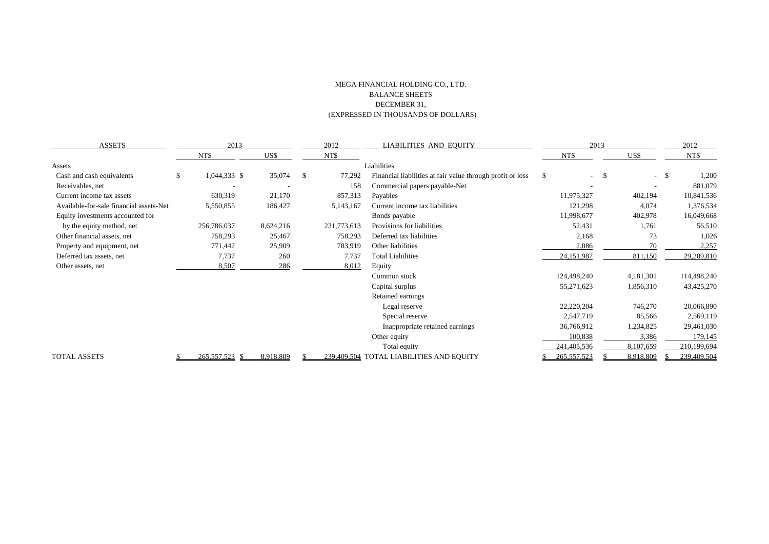#### MEGA FINANCIAL HOLDING CO., LTD. BALANCE SHEETS DECEMBER 31, (EXPRESSED IN THOUSANDS OF DOLLARS)

| <b>ASSETS</b>                           |    | 2013           |           | 2012<br><b>LIABILITIES AND EQUITY</b> |             |                                                            | 2013 | 2012        |           |        |             |
|-----------------------------------------|----|----------------|-----------|---------------------------------------|-------------|------------------------------------------------------------|------|-------------|-----------|--------|-------------|
|                                         |    | NT\$           | US\$      |                                       | NT\$        |                                                            |      | NT\$        | US\$      |        | NT\$        |
| Assets                                  |    |                |           |                                       |             | Liabilities                                                |      |             |           |        |             |
| Cash and cash equivalents               | \$ | 1,044,333 \$   | 35,074    | -\$                                   | 77,292      | Financial liabilities at fair value through profit or loss | S    | $-5$        |           | $-$ \$ | 1,200       |
| Receivables, net                        |    |                |           |                                       | 158         | Commercial papers payable-Net                              |      |             |           |        | 881,079     |
| Current income tax assets               |    | 630,319        | 21,170    |                                       | 857,313     | Payables                                                   |      | 11,975,327  | 402,194   |        | 10,841,536  |
| Available-for-sale financial assets-Net |    | 5,550,855      | 186,427   |                                       | 5,143,167   | Current income tax liabilities                             |      | 121,298     | 4,074     |        | 1,376,534   |
| Equity investments accounted for        |    |                |           |                                       |             | Bonds payable                                              |      | 11,998,677  | 402,978   |        | 16,049,668  |
| by the equity method, net               |    | 256,786,037    | 8,624,216 |                                       | 231,773,613 | Provisions for liabilities                                 |      | 52,431      | 1,761     |        | 56,510      |
| Other financial assets, net             |    | 758,293        | 25,467    |                                       | 758,293     | Deferred tax liabilities                                   |      | 2,168       | 73        |        | 1,026       |
| Property and equipment, net             |    | 771,442        | 25,909    |                                       | 783,919     | Other liabilities                                          |      | 2,086       | 70        |        | 2,257       |
| Deferred tax assets, net                |    | 7,737          | 260       |                                       | 7,737       | <b>Total Liabilities</b>                                   |      | 24,151,987  | 811,150   |        | 29,209,810  |
| Other assets, net                       |    | 8,507          | 286       |                                       | 8,012       | Equity                                                     |      |             |           |        |             |
|                                         |    |                |           |                                       |             | Common stock                                               |      | 124,498,240 | 4,181,301 |        | 114,498,240 |
|                                         |    |                |           |                                       |             | Capital surplus                                            |      | 55,271,623  | 1,856,310 |        | 43,425,270  |
|                                         |    |                |           |                                       |             | Retained earnings                                          |      |             |           |        |             |
|                                         |    |                |           |                                       |             | Legal reserve                                              |      | 22,220,204  | 746,270   |        | 20,066,890  |
|                                         |    |                |           |                                       |             | Special reserve                                            |      | 2,547,719   | 85,566    |        | 2,569,119   |
|                                         |    |                |           |                                       |             | Inappropriate retained earnings                            |      | 36,766,912  | 1,234,825 |        | 29,461,030  |
|                                         |    |                |           |                                       |             | Other equity                                               |      | 100,838     | 3,386     |        | 179,145     |
|                                         |    |                |           |                                       |             | Total equity                                               |      | 241,405,536 | 8,107,659 |        | 210,199,694 |
| TOTAL ASSETS                            |    | 265,557,523 \$ | 8,918,809 |                                       |             | 239,409,504 TOTAL LIABILITIES AND EQUITY                   |      | 265,557,523 | 8,918,809 |        | 239,409,504 |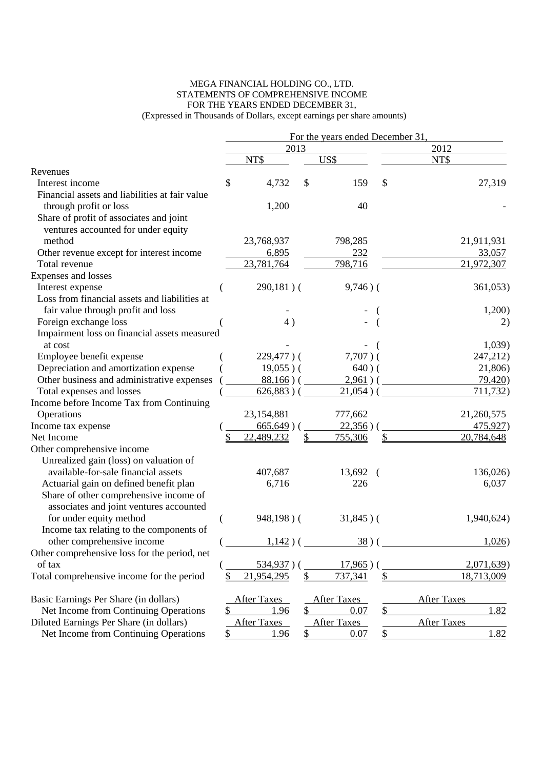#### MEGA FINANCIAL HOLDING CO., LTD. STATEMENTS OF COMPREHENSIVE INCOME FOR THE YEARS ENDED DECEMBER 31, (Expressed in Thousands of Dollars, except earnings per share amounts)

|                                                |                    |              | For the years ended December 31, |               |                    |
|------------------------------------------------|--------------------|--------------|----------------------------------|---------------|--------------------|
|                                                | 2013               |              |                                  |               | 2012               |
|                                                | NT\$               |              | US\$                             |               | NT\$               |
| Revenues                                       |                    |              |                                  |               |                    |
| Interest income                                | \$<br>4,732        | \$           | 159                              | \$            | 27,319             |
| Financial assets and liabilities at fair value |                    |              |                                  |               |                    |
| through profit or loss                         | 1,200              |              | 40                               |               |                    |
| Share of profit of associates and joint        |                    |              |                                  |               |                    |
| ventures accounted for under equity            |                    |              |                                  |               |                    |
| method                                         | 23,768,937         |              | 798,285                          |               | 21,911,931         |
| Other revenue except for interest income       | 6,895              |              | 232                              |               | 33,057             |
| Total revenue                                  | 23,781,764         |              | 798,716                          |               | 21,972,307         |
| Expenses and losses                            |                    |              |                                  |               |                    |
| Interest expense                               | $290,181)$ (       |              | $9,746)$ (                       |               | 361,053)           |
| Loss from financial assets and liabilities at  |                    |              |                                  |               |                    |
| fair value through profit and loss             |                    |              |                                  |               | 1,200)             |
| Foreign exchange loss                          | 4)                 |              |                                  |               | 2)                 |
| Impairment loss on financial assets measured   |                    |              |                                  |               |                    |
| at cost                                        |                    |              |                                  |               | 1,039              |
| Employee benefit expense                       | $229,477$ ) (      |              | $7,707$ ) (                      |               | 247,212)           |
| Depreciation and amortization expense          | $19,055$ )(        |              | $640)$ (                         |               | 21,806)            |
| Other business and administrative expenses     | $88,166$ ) (       |              | $2,961)$ (                       |               | 79,420)            |
| Total expenses and losses                      | $626,883)$ (       |              | 21,054)                          |               | 711,732)           |
| Income before Income Tax from Continuing       |                    |              |                                  |               |                    |
| Operations                                     | 23, 154, 881       |              | 777,662                          |               | 21,260,575         |
| Income tax expense                             | $665,649$ )        |              | 22,356)                          |               | 475,927)           |
| Net Income                                     | 22,489,232         | \$           | 755,306                          | \$            | 20,784,648         |
| Other comprehensive income                     |                    |              |                                  |               |                    |
| Unrealized gain (loss) on valuation of         |                    |              |                                  |               |                    |
| available-for-sale financial assets            | 407,687            |              | 13,692<br>$\overline{ }$         |               | 136,026)           |
| Actuarial gain on defined benefit plan         | 6,716              |              | 226                              |               | 6,037              |
| Share of other comprehensive income of         |                    |              |                                  |               |                    |
| associates and joint ventures accounted        |                    |              |                                  |               |                    |
| for under equity method                        | $948,198$ ) (      |              | $31,845$ ) (                     |               | 1,940,624)         |
| Income tax relating to the components of       |                    |              |                                  |               |                    |
| other comprehensive income                     | 1,142)             |              | 38)                              |               | 1,026              |
| Other comprehensive loss for the period, net   |                    |              |                                  |               |                    |
| of tax                                         | 534,937)           |              | $17,965$ ) (                     |               | 2,071,639)         |
| Total comprehensive income for the period      | \$<br>21,954,295   | \$           | 737,341                          | $\mathcal{S}$ | 18,713,009         |
| Basic Earnings Per Share (in dollars)          | <b>After Taxes</b> |              | <b>After Taxes</b>               |               | <b>After Taxes</b> |
| Net Income from Continuing Operations          | \$<br>1.96         | $\mathsf{S}$ | 0.07                             | \$            | 1.82               |
| Diluted Earnings Per Share (in dollars)        | <b>After Taxes</b> |              | <b>After Taxes</b>               |               | <b>After Taxes</b> |
| Net Income from Continuing Operations          | <u>1.96</u>        | \$           | 0.07                             | \$            | 1.82               |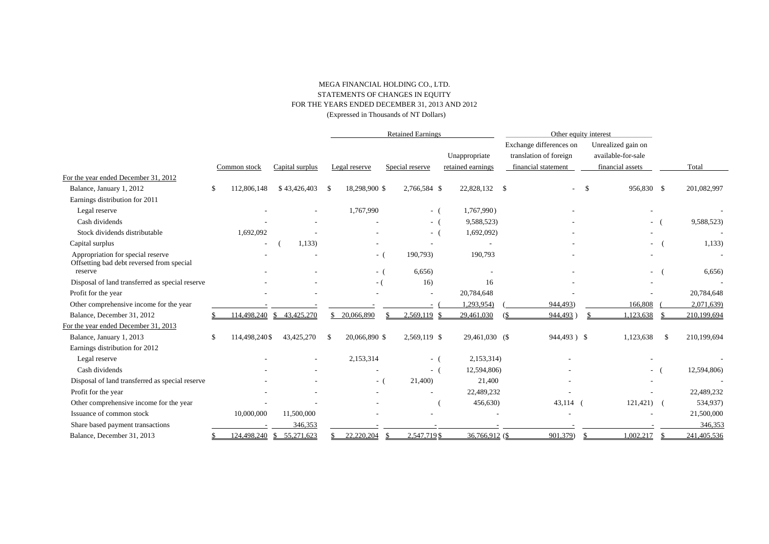#### MEGA FINANCIAL HOLDING CO., LTD. STATEMENTS OF CHANGES IN EQUITY FOR THE YEARS ENDED DECEMBER 31, 2013 AND 2012 (Expressed in Thousands of NT Dollars)

|                                                                                |                     |                  | <b>Retained Earnings</b> |       |                 |                                    | Other equity interest                                                    |               |                                                              |               |             |
|--------------------------------------------------------------------------------|---------------------|------------------|--------------------------|-------|-----------------|------------------------------------|--------------------------------------------------------------------------|---------------|--------------------------------------------------------------|---------------|-------------|
|                                                                                | Common stock        | Capital surplus  | Legal reserve            |       | Special reserve | Unappropriate<br>retained earnings | Exchange differences on<br>translation of foreign<br>financial statement |               | Unrealized gain on<br>available-for-sale<br>financial assets |               | Total       |
| For the year ended December 31, 2012                                           |                     |                  |                          |       |                 |                                    |                                                                          |               |                                                              |               |             |
| Balance, January 1, 2012                                                       | 112,806,148<br>S.   | \$43,426,403     | 18,298,900 \$<br>-\$     |       | 2,766,584 \$    | 22,828,132                         | - \$<br>$\sim$                                                           | <sup>\$</sup> | 956,830 \$                                                   |               | 201,082,997 |
| Earnings distribution for 2011                                                 |                     |                  |                          |       |                 |                                    |                                                                          |               |                                                              |               |             |
| Legal reserve                                                                  |                     |                  | 1,767,990                |       | - (             | 1,767,990)                         |                                                                          |               |                                                              |               |             |
| Cash dividends                                                                 |                     |                  |                          |       | $-$ (           | 9,588,523)                         |                                                                          |               | $  -$                                                        |               | 9,588,523)  |
| Stock dividends distributable                                                  | 1,692,092           |                  |                          |       | $-$ (           | 1,692,092)                         |                                                                          |               |                                                              |               |             |
| Capital surplus                                                                |                     | 1,133)           |                          |       |                 |                                    |                                                                          |               |                                                              |               | 1,133)      |
| Appropriation for special reserve<br>Offsetting bad debt reversed from special |                     |                  |                          | - (   | 190,793)        | 190,793                            |                                                                          |               |                                                              |               |             |
| reserve                                                                        |                     |                  |                          | - (   | 6,656           |                                    |                                                                          |               |                                                              |               | 6,656       |
| Disposal of land transferred as special reserve                                |                     |                  |                          | $-$ ( | 16)             | 16                                 |                                                                          |               |                                                              |               |             |
| Profit for the year                                                            |                     |                  |                          |       |                 | 20,784,648                         |                                                                          |               |                                                              |               | 20,784,648  |
| Other comprehensive income for the year                                        |                     |                  |                          |       |                 | 1,293,954)                         | 944,493)                                                                 |               | 166,808                                                      |               | 2,071,639)  |
| Balance, December 31, 2012                                                     | 114,498,240         | \$43.425.270     | 20.066.890               |       | 2.569.119       | 29.461.030                         | 944.493                                                                  |               | 1.123.638                                                    |               | 210,199,694 |
| For the year ended December 31, 2013                                           |                     |                  |                          |       |                 |                                    |                                                                          |               |                                                              |               |             |
| Balance, January 1, 2013                                                       | 114,498,240\$<br>S. | 43,425,270       | 20,066,890 \$<br>-\$     |       | 2,569,119 \$    | 29,461,030 (\$                     | 944,493) \$                                                              |               | 1,123,638                                                    | $\mathbf{\$}$ | 210,199,694 |
| Earnings distribution for 2012                                                 |                     |                  |                          |       |                 |                                    |                                                                          |               |                                                              |               |             |
| Legal reserve                                                                  |                     |                  | 2,153,314                |       | $-$ (           | 2,153,314)                         |                                                                          |               |                                                              |               |             |
| Cash dividends                                                                 |                     |                  |                          |       | $-1$            | 12,594,806)                        |                                                                          |               | $-$ (                                                        |               | 12,594,806) |
| Disposal of land transferred as special reserve                                |                     |                  |                          | - (   | 21,400)         | 21,400                             |                                                                          |               |                                                              |               |             |
| Profit for the year                                                            |                     |                  |                          |       |                 | 22,489,232                         |                                                                          |               |                                                              |               | 22,489,232  |
| Other comprehensive income for the year                                        |                     |                  |                          |       |                 | 456,630)                           | $43,114$ (                                                               |               | $121,421$ (                                                  |               | 534,937)    |
| Issuance of common stock                                                       | 10,000,000          | 11,500,000       |                          |       |                 |                                    |                                                                          |               |                                                              |               | 21,500,000  |
| Share based payment transactions                                               |                     | 346,353          |                          |       |                 |                                    |                                                                          |               |                                                              |               | 346,353     |
| Balance, December 31, 2013                                                     | 124,498,240         | S.<br>55,271,623 | 22,220,204               |       | 2.547.719 \$    | 36,766,912 (\$                     | 901,379)                                                                 |               | 1.002.217                                                    |               | 241,405,536 |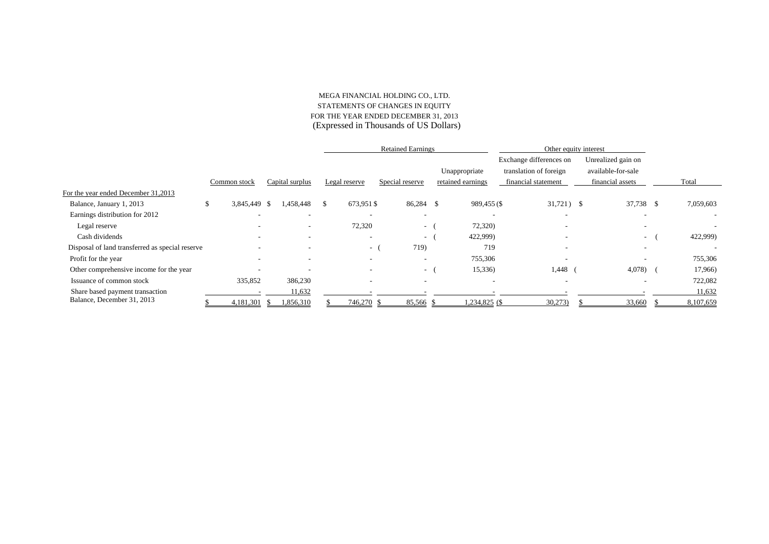#### MEGA FINANCIAL HOLDING CO., LTD. STATEMENTS OF CHANGES IN EQUITY FOR THE YEAR ENDED DECEMBER 31, 2013 (Expressed in Thousands of US Dollars)

|                                                 |                |                 |                          |     | <b>Retained Earnings</b> |                          |  |                                    | Other equity interest                                                    |                                                              |           |
|-------------------------------------------------|----------------|-----------------|--------------------------|-----|--------------------------|--------------------------|--|------------------------------------|--------------------------------------------------------------------------|--------------------------------------------------------------|-----------|
|                                                 | Common stock   | Capital surplus |                          |     | Legal reserve            | Special reserve          |  | Unappropriate<br>retained earnings | Exchange differences on<br>translation of foreign<br>financial statement | Unrealized gain on<br>available-for-sale<br>financial assets | Total     |
| For the year ended December 31,2013             |                |                 |                          |     |                          |                          |  |                                    |                                                                          |                                                              |           |
| Balance, January 1, 2013                        | 3,845,449<br>Ж | - 5             | 1,458,448                | \$. | 673,951 \$               | 86,284 \$                |  | 989,455 (\$                        | $31,721$ \$                                                              | 37,738 \$                                                    | 7,059,603 |
| Earnings distribution for 2012                  |                |                 | $\overline{\phantom{a}}$ |     |                          | ۰.                       |  | $\overline{\phantom{a}}$           | $\overline{\phantom{a}}$                                                 |                                                              |           |
| Legal reserve                                   |                |                 | $\sim$                   |     | 72,320                   | $\sim$ 100 $\mu$         |  | 72,320)                            |                                                                          | $\overline{\phantom{a}}$                                     |           |
| Cash dividends                                  |                |                 |                          |     | $\overline{\phantom{a}}$ | $\sim$                   |  | 422,999)                           | $\overline{\phantom{a}}$                                                 | $\sim$                                                       | 422,999)  |
| Disposal of land transferred as special reserve |                |                 |                          |     | $\sim$                   | 719)                     |  | 719                                |                                                                          |                                                              |           |
| Profit for the year                             |                |                 |                          |     |                          | $\overline{\phantom{a}}$ |  | 755,306                            |                                                                          |                                                              | 755,306   |
| Other comprehensive income for the year         |                |                 |                          |     |                          | $\sim$                   |  | 15,336)                            | 1,448                                                                    | 4,078)                                                       | 17,966)   |
| Issuance of common stock                        | 335,852        |                 | 386,230                  |     | $\overline{\phantom{a}}$ | $\overline{\phantom{a}}$ |  | $\overline{\phantom{a}}$           | $\overline{\phantom{a}}$                                                 |                                                              | 722,082   |
| Share based payment transaction                 |                |                 | 11,632                   |     |                          |                          |  |                                    |                                                                          |                                                              | 11,632    |
| Balance, December 31, 2013                      | 4,181,301      |                 | 1,856,310                |     | 746,270                  | 85,566 \$                |  | $1,234,825$ (\$)                   | 30,273                                                                   | 33,660                                                       | 8,107,659 |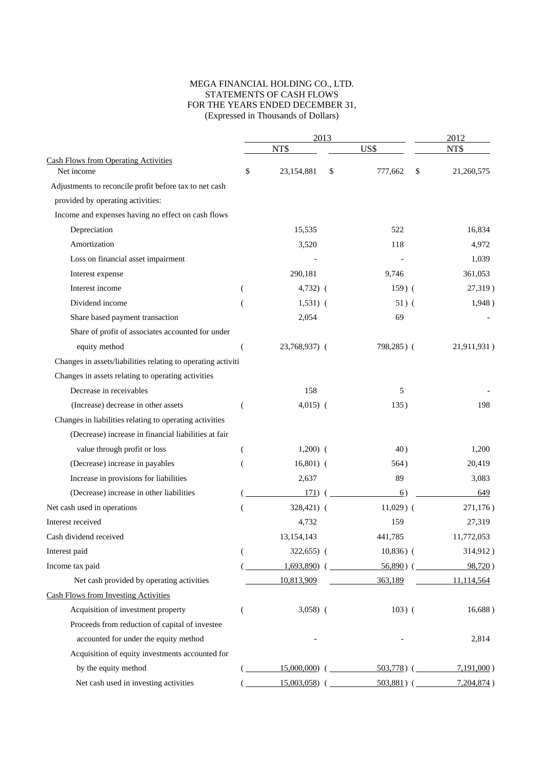#### MEGA FINANCIAL HOLDING CO., LTD. STATEMENTS OF CASH FLOWS FOR THE YEARS ENDED DECEMBER 31, (Expressed in Thousands of Dollars)

|                                                              |          |                | 2013 |               | 2012             |  |  |
|--------------------------------------------------------------|----------|----------------|------|---------------|------------------|--|--|
|                                                              |          | NT\$           |      | US\$          | NT\$             |  |  |
| <b>Cash Flows from Operating Activities</b><br>Net income    | \$       | 23,154,881     | \$   | 777,662       | \$<br>21,260,575 |  |  |
| Adjustments to reconcile profit before tax to net cash       |          |                |      |               |                  |  |  |
| provided by operating activities:                            |          |                |      |               |                  |  |  |
| Income and expenses having no effect on cash flows           |          |                |      |               |                  |  |  |
| Depreciation                                                 |          | 15,535         |      | 522           | 16,834           |  |  |
| Amortization                                                 |          | 3,520          |      | 118           | 4,972            |  |  |
| Loss on financial asset impairment                           |          |                |      |               | 1,039            |  |  |
| Interest expense                                             |          | 290,181        |      | 9,746         | 361,053          |  |  |
| Interest income                                              |          | $4,732)$ (     |      | $159)$ (      | 27,319)          |  |  |
| Dividend income                                              |          | $1,531)$ (     |      | $51)$ (       | 1,948)           |  |  |
| Share based payment transaction                              |          | 2,054          |      | 69            |                  |  |  |
| Share of profit of associates accounted for under            |          |                |      |               |                  |  |  |
| equity method                                                | (        | 23,768,937) (  |      | 798,285) (    | 21,911,931)      |  |  |
| Changes in assets/liabilities relating to operating activiti |          |                |      |               |                  |  |  |
| Changes in assets relating to operating activities           |          |                |      |               |                  |  |  |
| Decrease in receivables                                      |          | 158            |      | 5             |                  |  |  |
| (Increase) decrease in other assets                          | (        | $4,015)$ (     |      | 135)          | 198              |  |  |
| Changes in liabilities relating to operating activities      |          |                |      |               |                  |  |  |
| (Decrease) increase in financial liabilities at fair         |          |                |      |               |                  |  |  |
| value through profit or loss                                 | $\left($ | $1,200)$ (     |      | 40)           | 1,200            |  |  |
| (Decrease) increase in payables                              |          | $16,801)$ (    |      | 564)          | 20,419           |  |  |
| Increase in provisions for liabilities                       |          | 2,637          |      | 89            | 3,083            |  |  |
| (Decrease) increase in other liabilities                     |          | 171)           |      | 6)            | 649              |  |  |
| Net cash used in operations                                  |          | 328,421) (     |      | $11,029$ (    | 271,176)         |  |  |
| Interest received                                            |          | 4,732          |      | 159           | 27,319           |  |  |
| Cash dividend received                                       |          | 13,154,143     |      | 441,785       | 11,772,053       |  |  |
| Interest paid                                                | (        | 322,655) (     |      | $10,836)$ (   | 314,912)         |  |  |
| Income tax paid                                              |          | 1,693,890      |      | $56,890$ ) (  | 98,720)          |  |  |
| Net cash provided by operating activities                    |          | 10,813,909     |      | 363,189       | 11,114,564       |  |  |
| <b>Cash Flows from Investing Activities</b>                  |          |                |      |               |                  |  |  |
| Acquisition of investment property                           | (        | $3,058$ (      |      | $103)$ (      | 16,688)          |  |  |
| Proceeds from reduction of capital of investee               |          |                |      |               |                  |  |  |
| accounted for under the equity method                        |          |                |      |               | 2,814            |  |  |
| Acquisition of equity investments accounted for              |          |                |      |               |                  |  |  |
| by the equity method                                         |          | $15,000,000$ ( |      | $503,778$ ) ( | $7,191,000$ )    |  |  |
| Net cash used in investing activities                        |          | $15,003,058$ ( |      | $503,881$ ) ( | 7,204,874)       |  |  |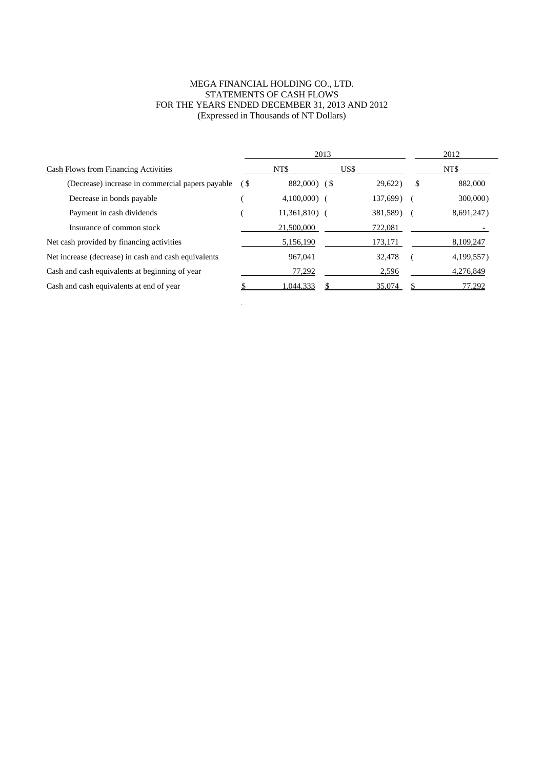#### MEGA FINANCIAL HOLDING CO., LTD. STATEMENTS OF CASH FLOWS FOR THE YEARS ENDED DECEMBER 31, 2013 AND 2012 (Expressed in Thousands of NT Dollars)

|                                                      |     | 2013            |      | 2012     |   |            |
|------------------------------------------------------|-----|-----------------|------|----------|---|------------|
| <b>Cash Flows from Financing Activities</b>          |     | NT\$            | US\$ |          |   | NT\$       |
| (Decrease) increase in commercial papers payable     | (\$ | 882,000) (\$    |      | 29,622)  | S | 882,000    |
| Decrease in bonds payable                            |     | $4,100,000$ (   |      | 137,699) |   | 300,000    |
| Payment in cash dividends                            |     | $11,361,810)$ ( |      | 381,589) |   | 8,691,247) |
| Insurance of common stock                            |     | 21,500,000      |      | 722,081  |   |            |
| Net cash provided by financing activities            |     | 5,156,190       |      | 173,171  |   | 8,109,247  |
| Net increase (decrease) in cash and cash equivalents |     | 967,041         |      | 32,478   |   | 4,199,557) |
| Cash and cash equivalents at beginning of year       |     | 77,292          |      | 2,596    |   | 4.276.849  |
| Cash and cash equivalents at end of year             |     | 1,044,333       |      | 35,074   |   | 77,292     |

 $\sim$